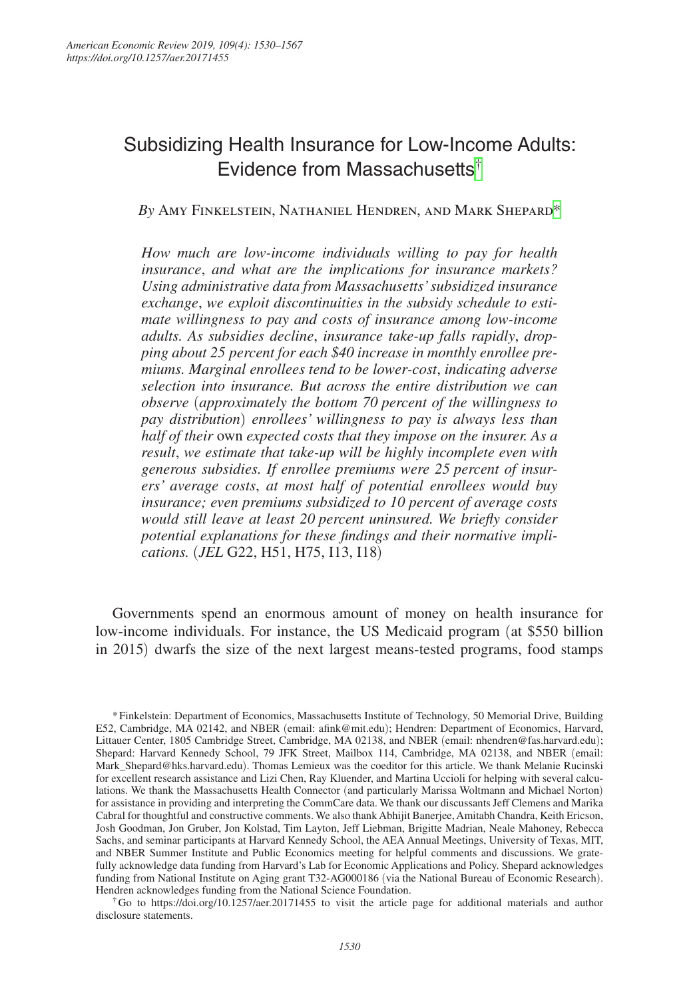# Subsidizing Health Insurance for Low-Income Adults: Evidence from Massachusetts<sup>[†](#page-0-0)</sup>

# *By* Amy Finkelstein, Nathaniel Hendren, and Mark Shepard[\\*](#page-0-1)

*How much are low-income individuals willing to pay for health insurance*, *and what are the implications for insurance markets? Using administrative data from Massachusetts' subsidized insurance exchange*, *we exploit discontinuities in the subsidy schedule to estimate willingness to pay and costs of insurance among low-income adults. As subsidies decline*, *insurance take-up falls rapidly*, *dropping about 25 percent for each \$40 increase in monthly enrollee premiums. Marginal enrollees tend to be lower-cost*, *indicating adverse selection into insurance. But across the entire distribution we can observe* (*approximately the bottom 70 percent of the willingness to pay distribution*) *enrollees' willingness to pay is always less than half of their* own *expected costs that they impose on the insurer. As a result*, *we estimate that take-up will be highly incomplete even with generous subsidies. If enrollee premiums were 25 percent of insurers' average costs*, *at most half of potential enrollees would buy insurance; even premiums subsidized to 10 percent of average costs would still leave at least 20 percent uninsured. We briefly consider potential explanations for these findings and their normative implications.* (*JEL* G22, H51, H75, I13, I18)

Governments spend an enormous amount of money on health insurance for low-income individuals. For instance, the US Medicaid program (at \$550 billion in 2015) dwarfs the size of the next largest means-tested programs, food stamps

<span id="page-0-1"></span>\*Finkelstein: Department of Economics, Massachusetts Institute of Technology, 50 Memorial Drive, Building E52, Cambridge, MA 02142, and NBER (email: [afink@mit.edu](mailto:afink@mit.edu)); Hendren: Department of Economics, Harvard, Littauer Center, 1805 Cambridge Street, Cambridge, MA 02138, and NBER (email: [nhendren@fas.harvard.edu](mailto:nhendren@fas.harvard.edu)); Shepard: Harvard Kennedy School, 79 JFK Street, Mailbox 114, Cambridge, MA 02138, and NBER (email: [Mark\\_Shepard@hks.harvard.edu](mailto:Mark_Shepard@hks.harvard.edu)). Thomas Lemieux was the coeditor for this article. We thank Melanie Rucinski for excellent research assistance and Lizi Chen, Ray Kluender, and Martina Uccioli for helping with several calculations. We thank the Massachusetts Health Connector (and particularly Marissa Woltmann and Michael Norton) for assistance in providing and interpreting the CommCare data. We thank our discussants Jeff Clemens and Marika Cabral for thoughtful and constructive comments. We also thank Abhijit Banerjee, Amitabh Chandra, Keith Ericson, Josh Goodman, Jon Gruber, Jon Kolstad, Tim Layton, Jeff Liebman, Brigitte Madrian, Neale Mahoney, Rebecca Sachs, and seminar participants at Harvard Kennedy School, the AEA Annual Meetings, University of Texas, MIT, and NBER Summer Institute and Public Economics meeting for helpful comments and discussions. We gratefully acknowledge data funding from Harvard's Lab for Economic Applications and Policy. Shepard acknowledges funding from National Institute on Aging grant T32-AG000186 (via the National Bureau of Economic Research). Hendren acknowledges funding from the National Science Foundation.

<span id="page-0-0"></span>†Go to <https://doi.org/10.1257/aer.20171455>to visit the article page for additional materials and author disclosure statements.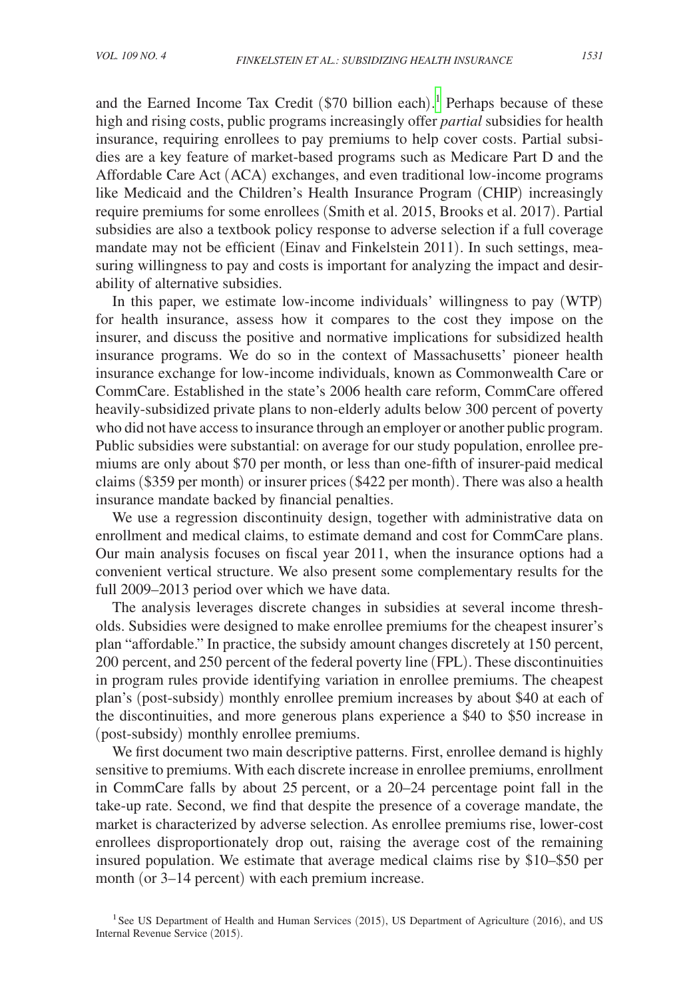and the Earned Income Tax Credit (\$70 billion each). [1](#page-1-0) Perhaps because of these high and rising costs, public programs increasingly offer *partial* subsidies for health insurance, requiring enrollees to pay premiums to help cover costs. Partial subsidies are a key feature of market-based programs such as Medicare Part D and the Affordable Care Act (ACA) exchanges, and even traditional low-income programs like Medicaid and the Children's Health Insurance Program (CHIP) increasingly require premiums for some enrollees (Smith et al. 2015, Brooks et al. 2017). Partial subsidies are also a textbook policy response to adverse selection if a full coverage mandate may not be efficient (Einav and Finkelstein 2011). In such settings, measuring willingness to pay and costs is important for analyzing the impact and desirability of alternative subsidies.

In this paper, we estimate low-income individuals' willingness to pay (WTP) for health insurance, assess how it compares to the cost they impose on the insurer, and discuss the positive and normative implications for subsidized health insurance programs. We do so in the context of Massachusetts' pioneer health insurance exchange for low-income individuals, known as Commonwealth Care or CommCare. Established in the state's 2006 health care reform, CommCare offered heavily-subsidized private plans to non-elderly adults below 300 percent of poverty who did not have access to insurance through an employer or another public program. Public subsidies were substantial: on average for our study population, enrollee premiums are only about \$70 per month, or less than one-fifth of insurer-paid medical claims (\$359 per month) or insurer prices (\$422 per month). There was also a health insurance mandate backed by financial penalties.

We use a regression discontinuity design, together with administrative data on enrollment and medical claims, to estimate demand and cost for CommCare plans. Our main analysis focuses on fiscal year 2011, when the insurance options had a convenient vertical structure. We also present some complementary results for the full 2009–2013 period over which we have data.

The analysis leverages discrete changes in subsidies at several income thresholds. Subsidies were designed to make enrollee premiums for the cheapest insurer's plan "affordable." In practice, the subsidy amount changes discretely at 150 percent, 200 percent, and 250 percent of the federal poverty line (FPL). These discontinuities in program rules provide identifying variation in enrollee premiums. The cheapest plan's (post-subsidy) monthly enrollee premium increases by about \$40 at each of the discontinuities, and more generous plans experience a \$40 to \$50 increase in (post-subsidy) monthly enrollee premiums.

We first document two main descriptive patterns. First, enrollee demand is highly sensitive to premiums. With each discrete increase in enrollee premiums, enrollment in CommCare falls by about 25 percent, or a 20–24 percentage point fall in the take-up rate. Second, we find that despite the presence of a coverage mandate, the market is characterized by adverse selection. As enrollee premiums rise, lower-cost enrollees disproportionately drop out, raising the average cost of the remaining insured population. We estimate that average medical claims rise by \$10–\$50 per month (or 3–14 percent) with each premium increase.

<span id="page-1-0"></span><sup>&</sup>lt;sup>1</sup>See US Department of Health and Human Services (2015), US Department of Agriculture (2016), and US Internal Revenue Service (2015).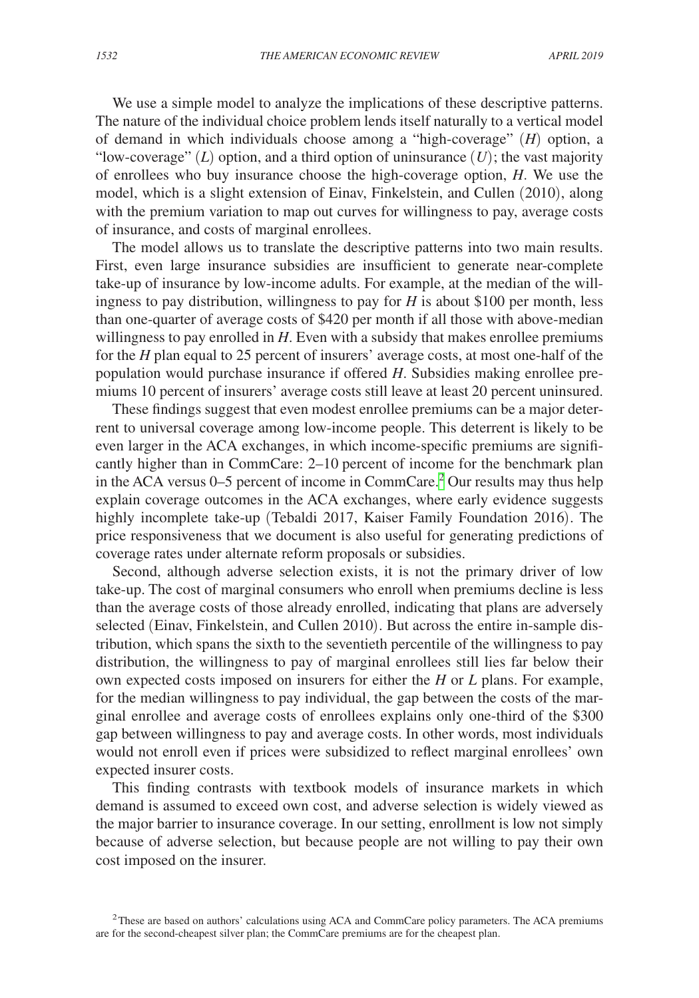We use a simple model to analyze the implications of these descriptive patterns. The nature of the individual choice problem lends itself naturally to a vertical model of demand in which individuals choose among a "high-coverage" (*H*) option, a "low-coverage"  $(L)$  option, and a third option of uninsurance  $(U)$ ; the vast majority of enrollees who buy insurance choose the high-coverage option, *H*. We use the model, which is a slight extension of Einav, Finkelstein, and Cullen (2010), along with the premium variation to map out curves for willingness to pay, average costs of insurance, and costs of marginal enrollees.

The model allows us to translate the descriptive patterns into two main results. First, even large insurance subsidies are insufficient to generate near-complete take-up of insurance by low-income adults. For example, at the median of the willingness to pay distribution, willingness to pay for *H* is about \$100 per month, less than one-quarter of average costs of \$420 per month if all those with above-median willingness to pay enrolled in *H*. Even with a subsidy that makes enrollee premiums for the *H* plan equal to 25 percent of insurers' average costs, at most one-half of the population would purchase insurance if offered *H*. Subsidies making enrollee premiums 10 percent of insurers' average costs still leave at least 20 percent uninsured.

These findings suggest that even modest enrollee premiums can be a major deterrent to universal coverage among low-income people. This deterrent is likely to be even larger in the ACA exchanges, in which income-specific premiums are significantly higher than in CommCare: 2–10 percent of income for the benchmark plan in the ACA versus  $0-5$  percent of income in CommCare.<sup>[2](#page-2-0)</sup> Our results may thus help explain coverage outcomes in the ACA exchanges, where early evidence suggests highly incomplete take-up (Tebaldi 2017, Kaiser Family Foundation 2016). The price responsiveness that we document is also useful for generating predictions of coverage rates under alternate reform proposals or subsidies.

Second, although adverse selection exists, it is not the primary driver of low take-up. The cost of marginal consumers who enroll when premiums decline is less than the average costs of those already enrolled, indicating that plans are adversely selected (Einav, Finkelstein, and Cullen 2010). But across the entire in-sample distribution, which spans the sixth to the seventieth percentile of the willingness to pay distribution, the willingness to pay of marginal enrollees still lies far below their own expected costs imposed on insurers for either the *H* or *L* plans. For example, for the median willingness to pay individual, the gap between the costs of the marginal enrollee and average costs of enrollees explains only one-third of the \$300 gap between willingness to pay and average costs. In other words, most individuals would not enroll even if prices were subsidized to reflect marginal enrollees' own expected insurer costs.

This finding contrasts with textbook models of insurance markets in which demand is assumed to exceed own cost, and adverse selection is widely viewed as the major barrier to insurance coverage. In our setting, enrollment is low not simply because of adverse selection, but because people are not willing to pay their own cost imposed on the insurer.

<span id="page-2-0"></span><sup>2</sup>These are based on authors' calculations using ACA and CommCare policy parameters. The ACA premiums are for the second-cheapest silver plan; the CommCare premiums are for the cheapest plan.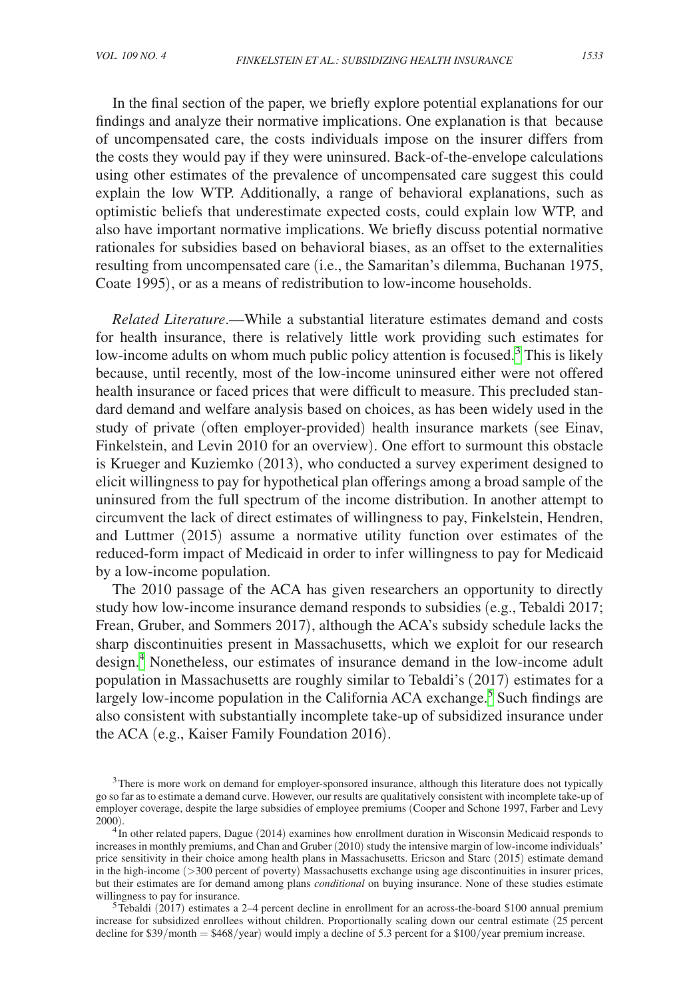In the final section of the paper, we briefly explore potential explanations for our findings and analyze their normative implications. One explanation is that because of uncompensated care, the costs individuals impose on the insurer differs from the costs they would pay if they were uninsured. Back-of-the-envelope calculations using other estimates of the prevalence of uncompensated care suggest this could explain the low WTP. Additionally, a range of behavioral explanations, such as optimistic beliefs that underestimate expected costs, could explain low WTP, and also have important normative implications. We briefly discuss potential normative rationales for subsidies based on behavioral biases, as an offset to the externalities resulting from uncompensated care (i.e., the Samaritan's dilemma, Buchanan 1975, Coate 1995), or as a means of redistribution to low-income households.

*Related Literature*.—While a substantial literature estimates demand and costs for health insurance, there is relatively little work providing such estimates for low-income adults on whom much public policy attention is focused.<sup>[3](#page-3-0)</sup> This is likely because, until recently, most of the low-income uninsured either were not offered health insurance or faced prices that were difficult to measure. This precluded standard demand and welfare analysis based on choices, as has been widely used in the study of private (often employer-provided) health insurance markets (see Einav, Finkelstein, and Levin 2010 for an overview). One effort to surmount this obstacle is Krueger and Kuziemko (2013), who conducted a survey experiment designed to elicit willingness to pay for hypothetical plan offerings among a broad sample of the uninsured from the full spectrum of the income distribution. In another attempt to circumvent the lack of direct estimates of willingness to pay, Finkelstein, Hendren, and Luttmer (2015) assume a normative utility function over estimates of the reduced-form impact of Medicaid in order to infer willingness to pay for Medicaid by a low-income population.

The 2010 passage of the ACA has given researchers an opportunity to directly study how low-income insurance demand responds to subsidies (e.g., Tebaldi 2017; Frean, Gruber, and Sommers 2017), although the ACA's subsidy schedule lacks the sharp discontinuities present in Massachusetts, which we exploit for our research design[.4](#page-3-1) Nonetheless, our estimates of insurance demand in the low-income adult population in Massachusetts are roughly similar to Tebaldi's (2017) estimates for a largely low-income population in the California ACA exchange.<sup>[5](#page-3-2)</sup> Such findings are also consistent with substantially incomplete take-up of subsidized insurance under the ACA (e.g., Kaiser Family Foundation 2016).

<span id="page-3-2"></span> $5$ Tebaldi (2017) estimates a 2–4 percent decline in enrollment for an across-the-board \$100 annual premium increase for subsidized enrollees without children. Proportionally scaling down our central estimate (25 percent decline for  $$39/month = $468/year)$  would imply a decline of 5.3 percent for a  $$100/year$  premium increase.

<span id="page-3-0"></span><sup>&</sup>lt;sup>3</sup>There is more work on demand for employer-sponsored insurance, although this literature does not typically go so far as to estimate a demand curve. However, our results are qualitatively consistent with incomplete take-up of employer coverage, despite the large subsidies of employee premiums (Cooper and Schone 1997, Farber and Levy 2000).

<span id="page-3-1"></span> $^{4}$ In other related papers, Dague (2014) examines how enrollment duration in Wisconsin Medicaid responds to increases in monthly premiums, and Chan and Gruber (2010) study the intensive margin of low-income individuals' price sensitivity in their choice among health plans in Massachusetts. Ericson and Starc (2015) estimate demand in the high-income (>300 percent of poverty) Massachusetts exchange using age discontinuities in insurer prices, but their estimates are for demand among plans *conditional* on buying insurance. None of these studies estimate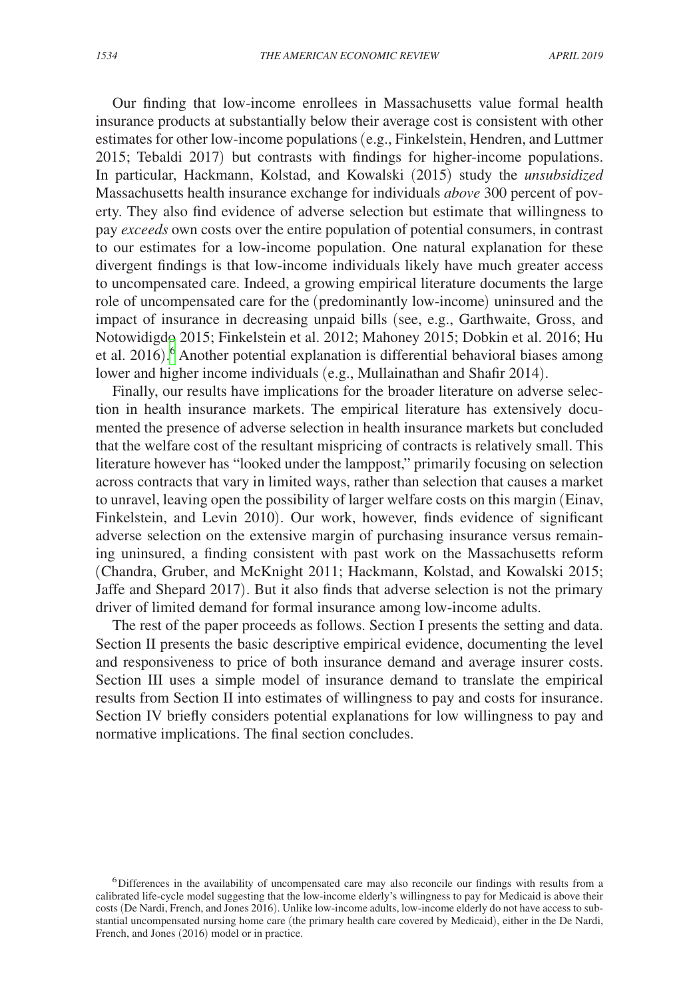Our finding that low-income enrollees in Massachusetts value formal health insurance products at substantially below their average cost is consistent with other estimates for other low-income populations (e.g., Finkelstein, Hendren, and Luttmer 2015; Tebaldi 2017) but contrasts with findings for higher-income populations. In particular, Hackmann, Kolstad, and Kowalski (2015) study the *unsubsidized* Massachusetts health insurance exchange for individuals *above* 300 percent of poverty. They also find evidence of adverse selection but estimate that willingness to pay *exceeds* own costs over the entire population of potential consumers, in contrast to our estimates for a low-income population. One natural explanation for these divergent findings is that low-income individuals likely have much greater access to uncompensated care. Indeed, a growing empirical literature documents the large role of uncompensated care for the (predominantly low-income) uninsured and the impact of insurance in decreasing unpaid bills (see, e.g., Garthwaite, Gross, and Notowidigdo 2015; Finkelstein et al. 2012; Mahoney 2015; Dobkin et al. 2016; Hu et al. 2016). [6](#page-4-0) Another potential explanation is differential behavioral biases among lower and higher income individuals (e.g., Mullainathan and Shafir 2014).

Finally, our results have implications for the broader literature on adverse selection in health insurance markets. The empirical literature has extensively documented the presence of adverse selection in health insurance markets but concluded that the welfare cost of the resultant mispricing of contracts is relatively small. This literature however has "looked under the lamppost," primarily focusing on selection across contracts that vary in limited ways, rather than selection that causes a market to unravel, leaving open the possibility of larger welfare costs on this margin (Einav, Finkelstein, and Levin 2010). Our work, however, finds evidence of significant adverse selection on the extensive margin of purchasing insurance versus remaining uninsured, a finding consistent with past work on the Massachusetts reform (Chandra, Gruber, and McKnight 2011; Hackmann, Kolstad, and Kowalski 2015; Jaffe and Shepard 2017). But it also finds that adverse selection is not the primary driver of limited demand for formal insurance among low-income adults.

The rest of the paper proceeds as follows. Section I presents the setting and data. Section II presents the basic descriptive empirical evidence, documenting the level and responsiveness to price of both insurance demand and average insurer costs. Section III uses a simple model of insurance demand to translate the empirical results from Section II into estimates of willingness to pay and costs for insurance. Section IV briefly considers potential explanations for low willingness to pay and normative implications. The final section concludes.

<span id="page-4-0"></span><sup>6</sup>Differences in the availability of uncompensated care may also reconcile our findings with results from a calibrated life-cycle model suggesting that the low-income elderly's willingness to pay for Medicaid is above their costs (De Nardi, French, and Jones 2016). Unlike low-income adults, low-income elderly do not have access to substantial uncompensated nursing home care (the primary health care covered by Medicaid), either in the De Nardi, French, and Jones (2016) model or in practice.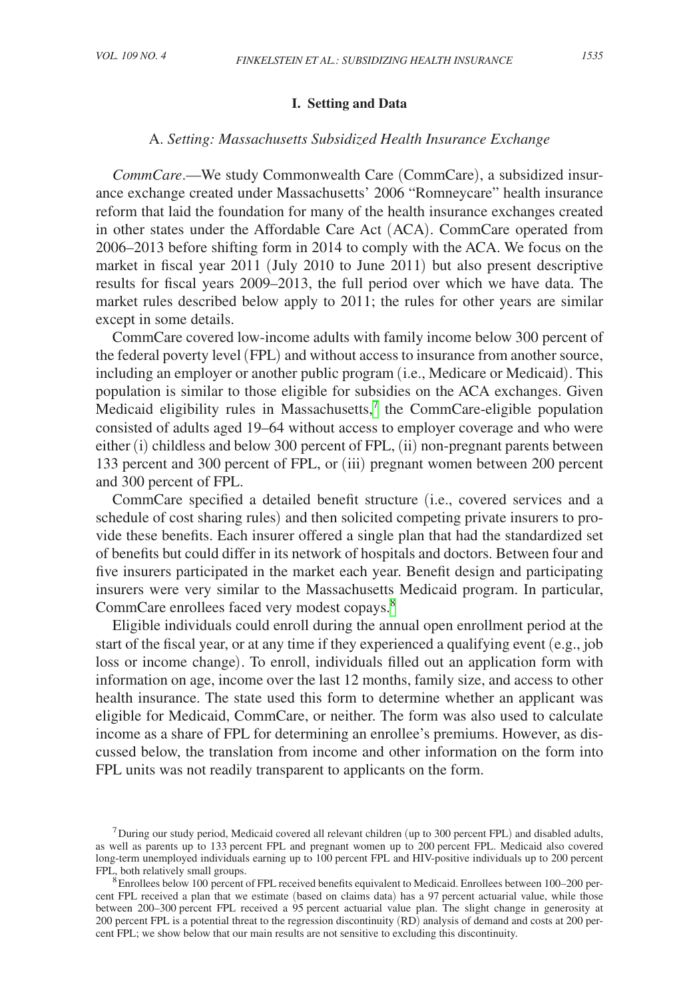# **I. Setting and Data**

### A. *Setting: Massachusetts Subsidized Health Insurance Exchange*

*CommCare*.—We study Commonwealth Care (CommCare), a subsidized insurance exchange created under Massachusetts' 2006 "Romneycare" health insurance reform that laid the foundation for many of the health insurance exchanges created in other states under the Affordable Care Act (ACA). CommCare operated from 2006–2013 before shifting form in 2014 to comply with the ACA. We focus on the market in fiscal year 2011 (July 2010 to June 2011) but also present descriptive results for fiscal years 2009–2013, the full period over which we have data. The market rules described below apply to 2011; the rules for other years are similar except in some details.

CommCare covered low-income adults with family income below 300 percent of the federal poverty level (FPL) and without access to insurance from another source, including an employer or another public program (i.e., Medicare or Medicaid). This population is similar to those eligible for subsidies on the ACA exchanges. Given Medicaid eligibility rules in Massachusetts, $7$  the CommCare-eligible population consisted of adults aged 19–64 without access to employer coverage and who were either (i) childless and below 300 percent of FPL, (ii) non-pregnant parents between 133 percent and 300 percent of FPL, or (iii) pregnant women between 200 percent and 300 percent of FPL.

CommCare specified a detailed benefit structure (i.e., covered services and a schedule of cost sharing rules) and then solicited competing private insurers to provide these benefits. Each insurer offered a single plan that had the standardized set of benefits but could differ in its network of hospitals and doctors. Between four and five insurers participated in the market each year. Benefit design and participating insurers were very similar to the Massachusetts Medicaid program. In particular, CommCare enrollees faced very modest copays.<sup>8</sup>

Eligible individuals could enroll during the annual open enrollment period at the start of the fiscal year, or at any time if they experienced a qualifying event (e.g., job loss or income change). To enroll, individuals filled out an application form with information on age, income over the last 12 months, family size, and access to other health insurance. The state used this form to determine whether an applicant was eligible for Medicaid, CommCare, or neither. The form was also used to calculate income as a share of FPL for determining an enrollee's premiums. However, as discussed below, the translation from income and other information on the form into FPL units was not readily transparent to applicants on the form.

<span id="page-5-0"></span><sup>7</sup>During our study period, Medicaid covered all relevant children (up to 300 percent FPL) and disabled adults, as well as parents up to 133 percent FPL and pregnant women up to 200 percent FPL. Medicaid also covered long-term unemployed individuals earning up to 100 percent FPL and HIV-positive individuals up to 200 percent FPL, both relatively small groups.<br><sup>8</sup>Enrollees below 100 percent of FPL received benefits equivalent to Medicaid. Enrollees between 100–200 per-

<span id="page-5-1"></span>cent FPL received a plan that we estimate (based on claims data) has a 97 percent actuarial value, while those between 200–300 percent FPL received a 95 percent actuarial value plan. The slight change in generosity at 200 percent FPL is a potential threat to the regression discontinuity (RD) analysis of demand and costs at 200 percent FPL; we show below that our main results are not sensitive to excluding this discontinuity.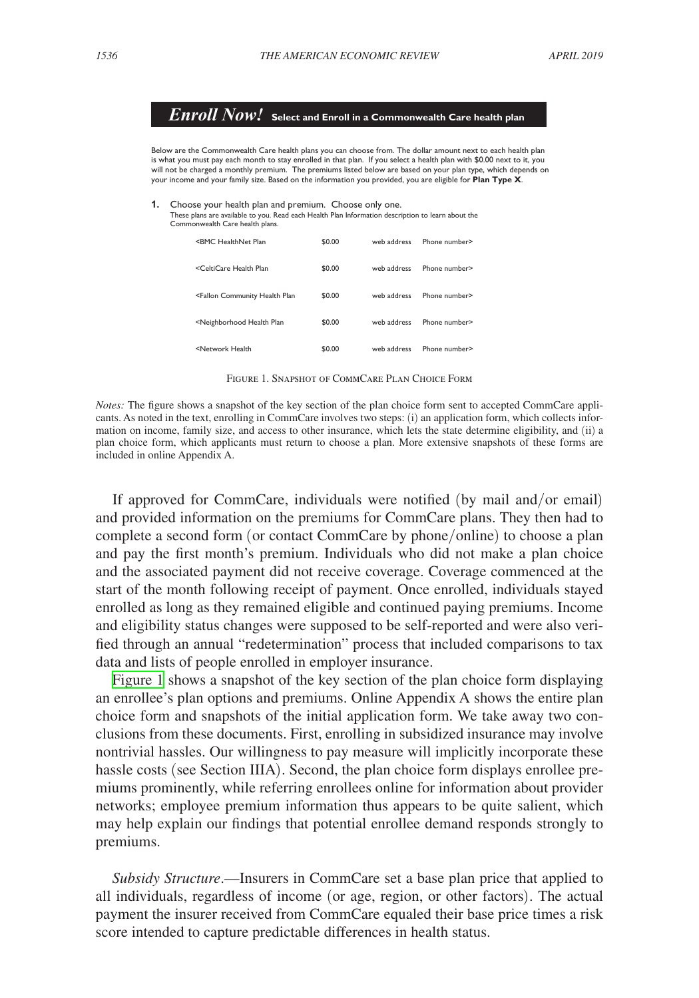*Enroll Now!* **Select and Enroll in a Commonwealth Care health plan** Below are the Commonwealth Care health plans you can choose from. The dollar amount next to each health plan is what you must pay each month to stay enrolled in that plan. If you select a health plan with \$0.00 next to it, you<br>will not be charged a monthly premium. The premiums listed below are based on your plan type, which depe your income and your family size. Based on the information you provided, you are eligible for **Plan Type X**.

**1.** Choose your health plan and premium. Choose only one.<br>These plans are available to you. Read each Health Plan Information description to learn about the Commonwealth Care health plans.

| <bmc healthnet="" plan<="" th=""><th>\$0.00</th><th>web address</th><th>Phone number&gt;</th></bmc>                 | \$0.00 | web address | Phone number> |
|---------------------------------------------------------------------------------------------------------------------|--------|-------------|---------------|
| <celticare health="" plan<="" td=""><td>\$0.00</td><td>web address</td><td>Phone number&gt;</td></celticare>        | \$0.00 | web address | Phone number> |
| <fallon community="" health="" plan<="" td=""><td>\$0.00</td><td>web address</td><td>Phone number&gt;</td></fallon> | \$0.00 | web address | Phone number> |
| <neighborhood health="" plan<="" td=""><td>\$0.00</td><td>web address</td><td>Phone number&gt;</td></neighborhood>  | \$0.00 | web address | Phone number> |
| <network health<="" td=""><td>\$0.00</td><td>web address</td><td>Phone number&gt;</td></network>                    | \$0.00 | web address | Phone number> |

Figure 1. Snapshot of CommCare Plan Choice Form

*Notes:* The figure shows a snapshot of the key section of the plan choice form sent to accepted CommCare applicants. As noted in the text, enrolling in CommCare involves two steps: (i) an application form, which collects information on income, family size, and access to other insurance, which lets the state determine eligibility, and (ii) a plan choice form, which applicants must return to choose a plan. More extensive snapshots of these forms are included in online Appendix A.

If approved for CommCare, individuals were notified (by mail and/or email) and provided information on the premiums for CommCare plans. They then had to complete a second form (or contact CommCare by phone/online) to choose a plan and pay the first month's premium. Individuals who did not make a plan choice and the associated payment did not receive coverage. Coverage commenced at the start of the month following receipt of payment. Once enrolled, individuals stayed enrolled as long as they remained eligible and continued paying premiums. Income and eligibility status changes were supposed to be self-reported and were also verified through an annual "redetermination" process that included comparisons to tax data and lists of people enrolled in employer insurance.

Figure 1 shows a snapshot of the key section of the plan choice form displaying an enrollee's plan options and premiums. Online Appendix A shows the entire plan choice form and snapshots of the initial application form. We take away two conclusions from these documents. First, enrolling in subsidized insurance may involve nontrivial hassles. Our willingness to pay measure will implicitly incorporate these hassle costs (see Section IIIA). Second, the plan choice form displays enrollee premiums prominently, while referring enrollees online for information about provider networks; employee premium information thus appears to be quite salient, which may help explain our findings that potential enrollee demand responds strongly to premiums.

*Subsidy Structure*.—Insurers in CommCare set a base plan price that applied to all individuals, regardless of income (or age, region, or other factors). The actual payment the insurer received from CommCare equaled their base price times a risk score intended to capture predictable differences in health status.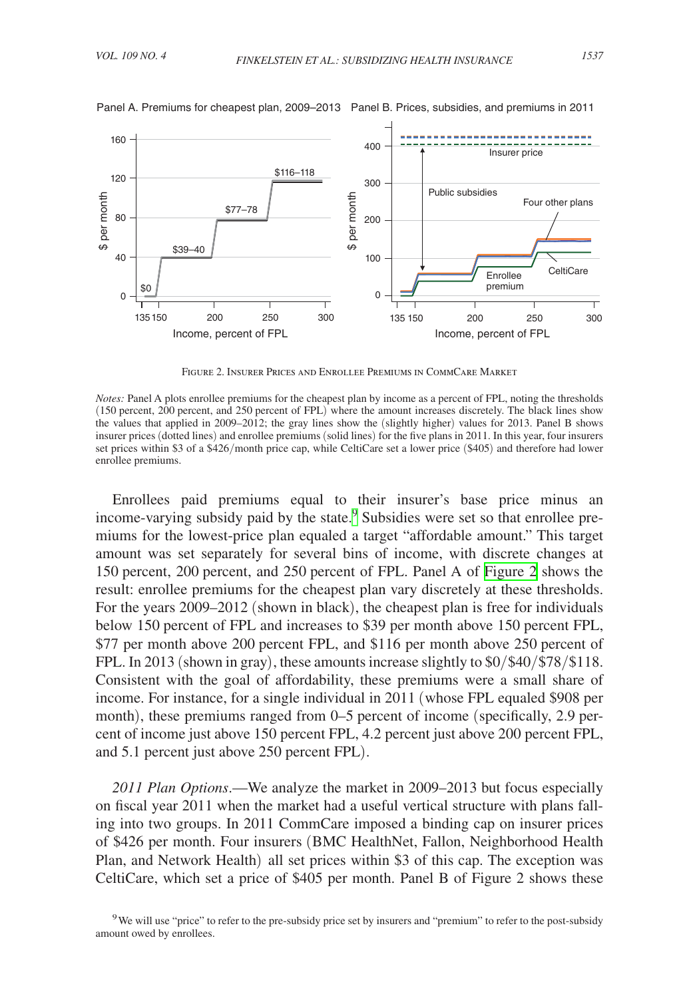

Panel A. Premiums for cheapest plan, 2009–2013 Panel B. Prices, subsidies, and premiums in 2011

Figure 2. Insurer Prices and Enrollee Premiums in CommCare Market

*Notes:* Panel A plots enrollee premiums for the cheapest plan by income as a percent of FPL, noting the thresholds (150 percent, 200 percent, and 250 percent of FPL) where the amount increases discretely. The black lines show the values that applied in 2009–2012; the gray lines show the (slightly higher) values for 2013. Panel B shows insurer prices (dotted lines) and enrollee premiums (solid lines) for the five plans in 2011. In this year, four insurers set prices within \$3 of a \$426/month price cap, while CeltiCare set a lower price (\$405) and therefore had lower enrollee premiums.

Enrollees paid premiums equal to their insurer's base price minus an income-varying subsidy paid by the state.<sup>[9](#page-7-0)</sup> Subsidies were set so that enrollee premiums for the lowest-price plan equaled a target "affordable amount." This target amount was set separately for several bins of income, with discrete changes at 150 percent, 200 percent, and 250 percent of FPL. Panel A of Figure 2 shows the result: enrollee premiums for the cheapest plan vary discretely at these thresholds. For the years 2009–2012 (shown in black), the cheapest plan is free for individuals below 150 percent of FPL and increases to \$39 per month above 150 percent FPL, \$77 per month above 200 percent FPL, and \$116 per month above 250 percent of FPL. In 2013 (shown in gray), these amounts increase slightly to \$0/\$40/\$78/\$118. Consistent with the goal of affordability, these premiums were a small share of income. For instance, for a single individual in 2011 (whose FPL equaled \$908 per month), these premiums ranged from 0–5 percent of income (specifically, 2.9 percent of income just above 150 percent FPL, 4.2 percent just above 200 percent FPL, and 5.1 percent just above 250 percent FPL).

*2011 Plan Options*.—We analyze the market in 2009–2013 but focus especially on fiscal year 2011 when the market had a useful vertical structure with plans falling into two groups. In 2011 CommCare imposed a binding cap on insurer prices of \$426 per month. Four insurers (BMC HealthNet, Fallon, Neighborhood Health Plan, and Network Health) all set prices within \$3 of this cap. The exception was CeltiCare, which set a price of \$405 per month. Panel B of Figure 2 shows these

<span id="page-7-0"></span><sup>9</sup>We will use "price" to refer to the pre-subsidy price set by insurers and "premium" to refer to the post-subsidy amount owed by enrollees.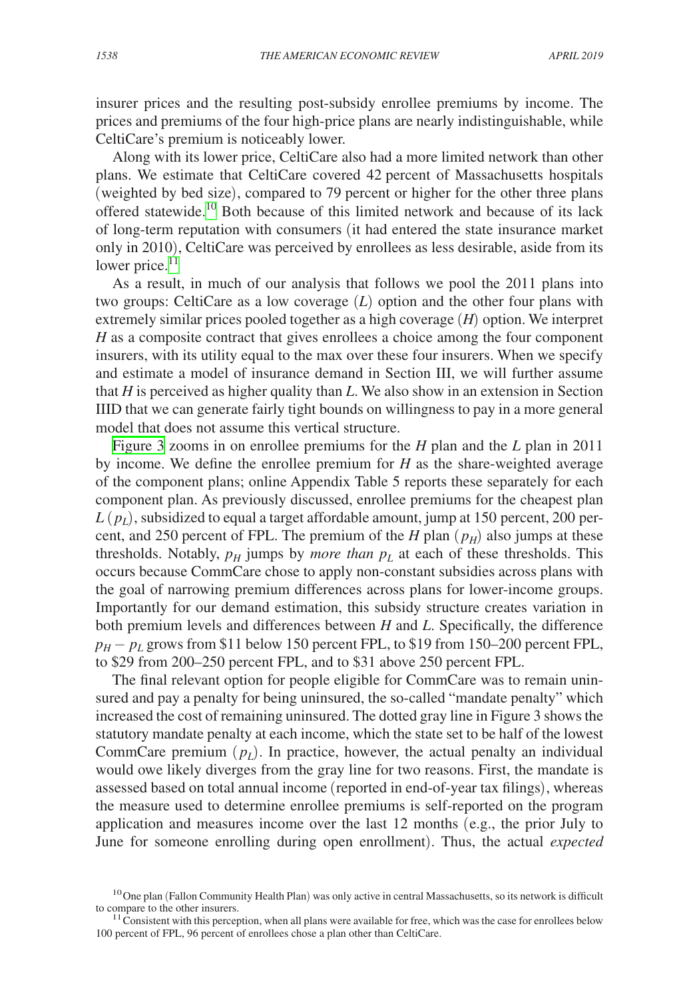insurer prices and the resulting post-subsidy enrollee premiums by income. The prices and premiums of the four high-price plans are nearly indistinguishable, while CeltiCare's premium is noticeably lower.

Along with its lower price, CeltiCare also had a more limited network than other plans. We estimate that CeltiCare covered 42 percent of Massachusetts hospitals (weighted by bed size), compared to 79 percent or higher for the other three plans offered statewide.<sup>[10](#page-8-0)</sup> Both because of this limited network and because of its lack of long-term reputation with consumers (it had entered the state insurance market only in 2010), CeltiCare was perceived by enrollees as less desirable, aside from its lower price. $^{11}$ 

As a result, in much of our analysis that follows we pool the 2011 plans into two groups: CeltiCare as a low coverage (*L*) option and the other four plans with extremely similar prices pooled together as a high coverage (*H*) option. We interpret *H* as a composite contract that gives enrollees a choice among the four component insurers, with its utility equal to the max over these four insurers. When we specify and estimate a model of insurance demand in Section III, we will further assume that *H* is perceived as higher quality than *L*. We also show in an extension in Section IIID that we can generate fairly tight bounds on willingness to pay in a more general model that does not assume this vertical structure.

[Figure 3](#page-9-0) zooms in on enrollee premiums for the *H* plan and the *L* plan in 2011 by income. We define the enrollee premium for *H* as the share-weighted average of the component plans; online Appendix Table 5 reports these separately for each component plan. As previously discussed, enrollee premiums for the cheapest plan  $L(p_l)$ , subsidized to equal a target affordable amount, jump at 150 percent, 200 percent, and 250 percent of FPL. The premium of the *H* plan  $(p_H)$  also jumps at these thresholds. Notably,  $p_H$  jumps by *more than*  $p_L$  at each of these thresholds. This occurs because CommCare chose to apply non-constant subsidies across plans with the goal of narrowing premium differences across plans for lower-income groups. Importantly for our demand estimation, this subsidy structure creates variation in both premium levels and differences between *H* and *L*. Specifically, the difference  $p_H - p_L$  grows from \$11 below 150 percent FPL, to \$19 from 150–200 percent FPL, to \$29 from 200–250 percent FPL, and to \$31 above 250 percent FPL.

The final relevant option for people eligible for CommCare was to remain uninsured and pay a penalty for being uninsured, the so-called "mandate penalty" which increased the cost of remaining uninsured. The dotted gray line in Figure 3 shows the statutory mandate penalty at each income, which the state set to be half of the lowest CommCare premium  $(p_l)$ . In practice, however, the actual penalty an individual would owe likely diverges from the gray line for two reasons. First, the mandate is assessed based on total annual income (reported in end-of-year tax filings), whereas the measure used to determine enrollee premiums is self-reported on the program application and measures income over the last 12 months (e.g., the prior July to June for someone enrolling during open enrollment). Thus, the actual *expected*

<span id="page-8-0"></span> $10$ One plan (Fallon Community Health Plan) was only active in central Massachusetts, so its network is difficult to compare to the other insurers.

<span id="page-8-1"></span> $11$  Consistent with this perception, when all plans were available for free, which was the case for enrollees below 100 percent of FPL, 96 percent of enrollees chose a plan other than CeltiCare.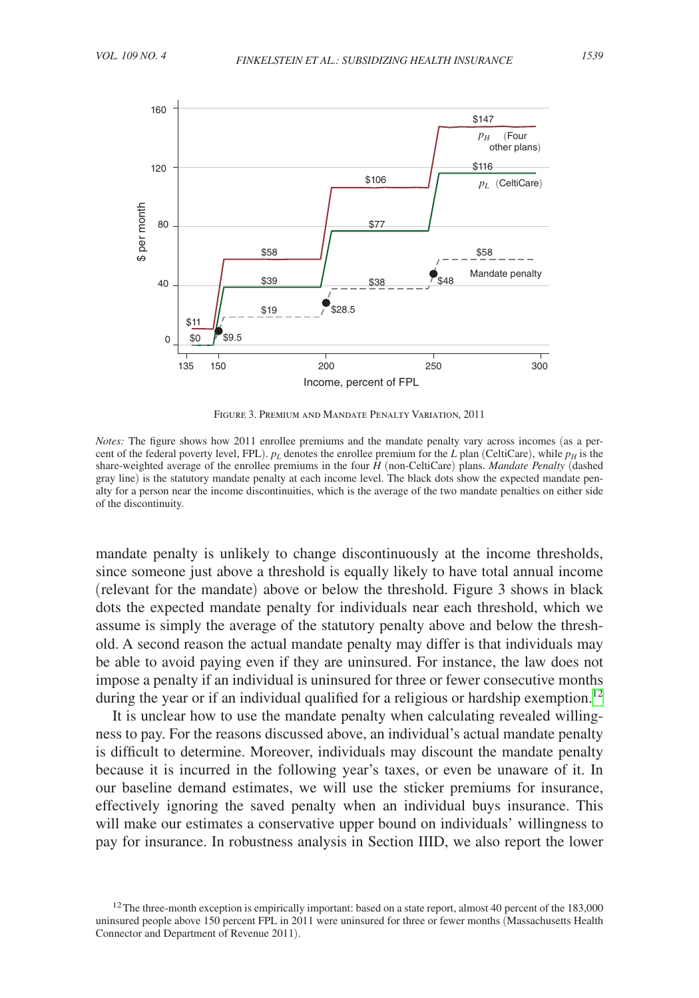<span id="page-9-0"></span>

Figure 3. Premium and Mandate Penalty Variation, 2011

*Notes:* The figure shows how 2011 enrollee premiums and the mandate penalty vary across incomes (as a percent of the federal poverty level, FPL).  $p_L$  denotes the enrollee premium for the *L* plan (CeltiCare), while  $p_H$  is the share-weighted average of the enrollee premiums in the four *H* (non-CeltiCare) plans. *Mandate Penalty* (dashed gray line) is the statutory mandate penalty at each income level. The black dots show the expected mandate penalty for a person near the income discontinuities, which is the average of the two mandate penalties on either side of the discontinuity.

mandate penalty is unlikely to change discontinuously at the income thresholds, since someone just above a threshold is equally likely to have total annual income (relevant for the mandate) above or below the threshold. Figure 3 shows in black dots the expected mandate penalty for individuals near each threshold, which we assume is simply the average of the statutory penalty above and below the threshold. A second reason the actual mandate penalty may differ is that individuals may be able to avoid paying even if they are uninsured. For instance, the law does not impose a penalty if an individual is uninsured for three or fewer consecutive months during the year or if an individual qualified for a religious or hardship exemption.<sup>12</sup>

It is unclear how to use the mandate penalty when calculating revealed willingness to pay. For the reasons discussed above, an individual's actual mandate penalty is difficult to determine. Moreover, individuals may discount the mandate penalty because it is incurred in the following year's taxes, or even be unaware of it. In our baseline demand estimates, we will use the sticker premiums for insurance, effectively ignoring the saved penalty when an individual buys insurance. This will make our estimates a conservative upper bound on individuals' willingness to pay for insurance. In robustness analysis in Section IIID, we also report the lower

<span id="page-9-1"></span> $12$ The three-month exception is empirically important: based on a state report, almost 40 percent of the 183,000 uninsured people above 150 percent FPL in 2011 were uninsured for three or fewer months (Massachusetts Health Connector and Department of Revenue 2011).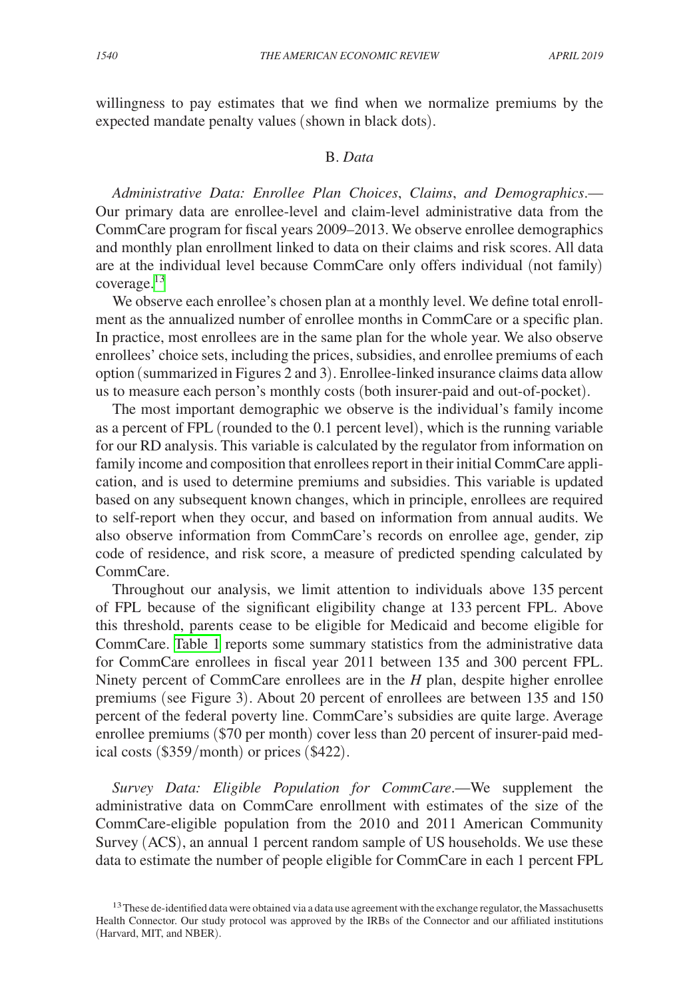willingness to pay estimates that we find when we normalize premiums by the expected mandate penalty values (shown in black dots).

# B. *Data*

*Administrative Data: Enrollee Plan Choices*, *Claims*, *and Demographics*.— Our primary data are enrollee-level and claim-level administrative data from the CommCare program for fiscal years 2009–2013. We observe enrollee demographics and monthly plan enrollment linked to data on their claims and risk scores. All data are at the individual level because CommCare only offers individual (not family) coverage.<sup>13</sup>

We observe each enrollee's chosen plan at a monthly level. We define total enrollment as the annualized number of enrollee months in CommCare or a specific plan. In practice, most enrollees are in the same plan for the whole year. We also observe enrollees' choice sets, including the prices, subsidies, and enrollee premiums of each option (summarized in Figures 2 and 3). Enrollee-linked insurance claims data allow us to measure each person's monthly costs (both insurer-paid and out-of-pocket).

The most important demographic we observe is the individual's family income as a percent of FPL (rounded to the 0.1 percent level), which is the running variable for our RD analysis. This variable is calculated by the regulator from information on family income and composition that enrollees report in their initial CommCare application, and is used to determine premiums and subsidies. This variable is updated based on any subsequent known changes, which in principle, enrollees are required to self-report when they occur, and based on information from annual audits. We also observe information from CommCare's records on enrollee age, gender, zip code of residence, and risk score, a measure of predicted spending calculated by CommCare.

Throughout our analysis, we limit attention to individuals above 135 percent of FPL because of the significant eligibility change at 133 percent FPL. Above this threshold, parents cease to be eligible for Medicaid and become eligible for CommCare. [Table 1](#page-11-0) reports some summary statistics from the administrative data for CommCare enrollees in fiscal year 2011 between 135 and 300 percent FPL. Ninety percent of CommCare enrollees are in the *H* plan, despite higher enrollee premiums (see Figure 3). About 20 percent of enrollees are between 135 and 150 percent of the federal poverty line. CommCare's subsidies are quite large. Average enrollee premiums (\$70 per month) cover less than 20 percent of insurer-paid medical costs (\$359/month) or prices (\$422).

*Survey Data: Eligible Population for CommCare*.—We supplement the administrative data on CommCare enrollment with estimates of the size of the CommCare-eligible population from the 2010 and 2011 American Community Survey (ACS), an annual 1 percent random sample of US households. We use these data to estimate the number of people eligible for CommCare in each 1 percent FPL

<span id="page-10-0"></span><sup>&</sup>lt;sup>13</sup> These de-identified data were obtained via a data use agreement with the exchange regulator, the Massachusetts Health Connector. Our study protocol was approved by the IRBs of the Connector and our affiliated institutions (Harvard, MIT, and NBER).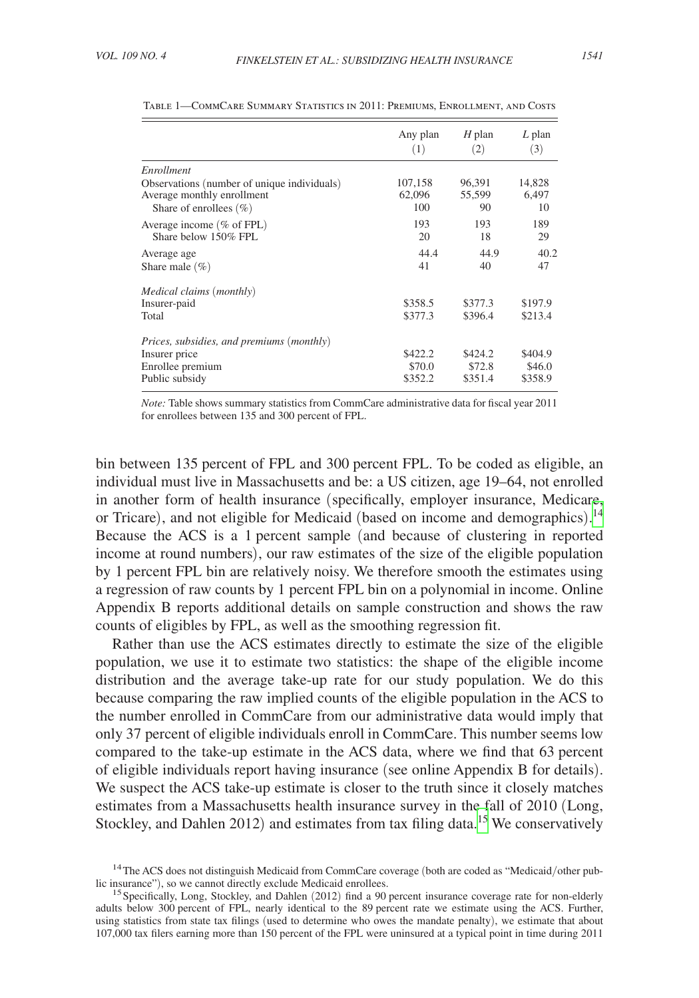|                                             | Any plan | $H$ plan | $L$ plan |  |
|---------------------------------------------|----------|----------|----------|--|
|                                             | (1)      | (2)      | (3)      |  |
| Enrollment                                  |          |          |          |  |
| Observations (number of unique individuals) | 107,158  | 96,391   | 14,828   |  |
| Average monthly enrollment                  | 62,096   | 55,599   | 6,497    |  |
| Share of enrollees $(\% )$                  | 100      | 90       | 10       |  |
| Average income $(\%$ of FPL)                | 193      | 193      | 189      |  |
| Share below 150% FPL                        | 20       | 18       | 29       |  |
| Average age                                 | 44.4     | 44.9     | 40.2     |  |
| Share male $(\% )$                          | 41       | 40       | 47       |  |
| Medical claims (monthly)                    |          |          |          |  |
| Insurer-paid                                | \$358.5  | \$377.3  | \$197.9  |  |
| Total                                       | \$377.3  | \$396.4  | \$213.4  |  |
| Prices, subsidies, and premiums (monthly)   |          |          |          |  |
| Insurer price                               | \$422.2  | \$424.2  | \$404.9  |  |
| Enrollee premium                            | \$70.0   | \$72.8   | \$46.0   |  |
| Public subsidy                              | \$352.2  | \$351.4  | \$358.9  |  |

<span id="page-11-0"></span>

| TABLE 1—COMMCARE SUMMARY STATISTICS IN 2011: PREMIUMS. ENROLLMENT, AND COSTS |  |  |
|------------------------------------------------------------------------------|--|--|
|------------------------------------------------------------------------------|--|--|

*Note:* Table shows summary statistics from CommCare administrative data for fiscal year 2011 for enrollees between 135 and 300 percent of FPL.

bin between 135 percent of FPL and 300 percent FPL. To be coded as eligible, an individual must live in Massachusetts and be: a US citizen, age 19–64, not enrolled in another form of health insurance (specifically, employer insurance, Medicare, or Tricare), and not eligible for Medicaid (based on income and demographics).<sup>[14](#page-11-1)</sup> Because the ACS is a 1 percent sample (and because of clustering in reported income at round numbers), our raw estimates of the size of the eligible population by 1 percent FPL bin are relatively noisy. We therefore smooth the estimates using a regression of raw counts by 1 percent FPL bin on a polynomial in income. Online Appendix B reports additional details on sample construction and shows the raw counts of eligibles by FPL, as well as the smoothing regression fit.

Rather than use the ACS estimates directly to estimate the size of the eligible population, we use it to estimate two statistics: the shape of the eligible income distribution and the average take-up rate for our study population. We do this because comparing the raw implied counts of the eligible population in the ACS to the number enrolled in CommCare from our administrative data would imply that only 37 percent of eligible individuals enroll in CommCare. This number seems low compared to the take-up estimate in the ACS data, where we find that 63 percent of eligible individuals report having insurance (see online Appendix B for details). We suspect the ACS take-up estimate is closer to the truth since it closely matches estimates from a Massachusetts health insurance survey in the fall of 2010 (Long, Stockley, and Dahlen 2012) and estimates from tax filing data.<sup>15</sup> We conservatively

<span id="page-11-1"></span> $14$ The ACS does not distinguish Medicaid from CommCare coverage (both are coded as "Medicaid/other pub-<br>lic insurance"), so we cannot directly exclude Medicaid enrollees.

<span id="page-11-2"></span><sup>&</sup>lt;sup>15</sup> Specifically, Long, Stockley, and Dahlen (2012) find a 90 percent insurance coverage rate for non-elderly adults below 300 percent of FPL, nearly identical to the 89 percent rate we estimate using the ACS. Further, using statistics from state tax filings (used to determine who owes the mandate penalty), we estimate that about 107,000 tax filers earning more than 150 percent of the FPL were uninsured at a typical point in time during 2011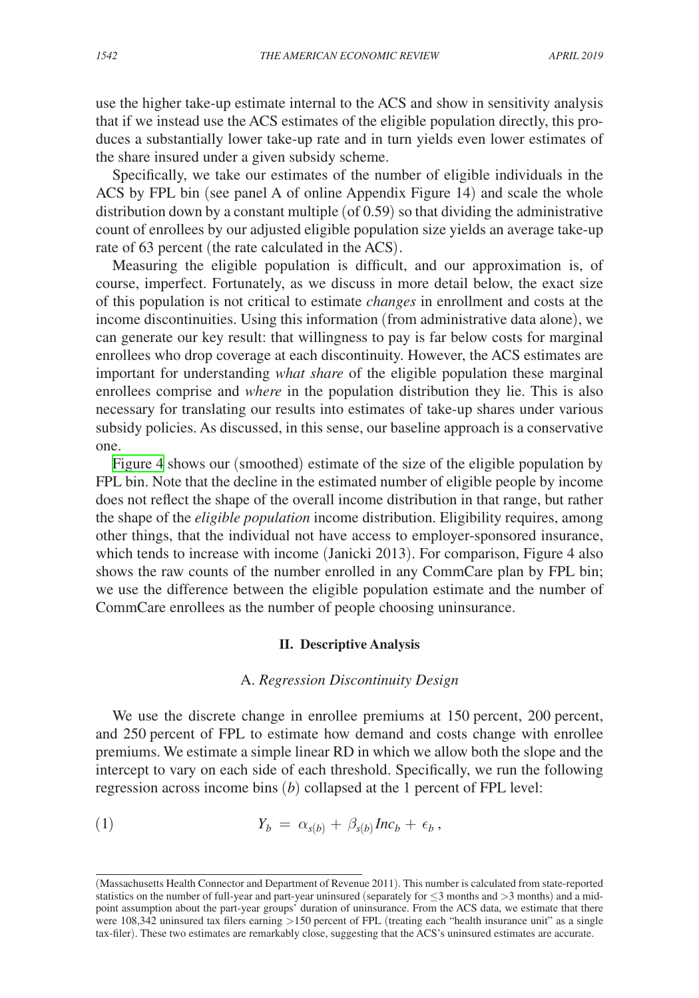use the higher take-up estimate internal to the ACS and show in sensitivity analysis that if we instead use the ACS estimates of the eligible population directly, this produces a substantially lower take-up rate and in turn yields even lower estimates of the share insured under a given subsidy scheme.

Specifically, we take our estimates of the number of eligible individuals in the ACS by FPL bin (see panel A of online Appendix Figure 14) and scale the whole distribution down by a constant multiple (of 0.59) so that dividing the administrative count of enrollees by our adjusted eligible population size yields an average take-up rate of 63 percent (the rate calculated in the ACS).

Measuring the eligible population is difficult, and our approximation is, of course, imperfect. Fortunately, as we discuss in more detail below, the exact size of this population is not critical to estimate *changes* in enrollment and costs at the income discontinuities. Using this information (from administrative data alone), we can generate our key result: that willingness to pay is far below costs for marginal enrollees who drop coverage at each discontinuity. However, the ACS estimates are important for understanding *what share* of the eligible population these marginal enrollees comprise and *where* in the population distribution they lie. This is also necessary for translating our results into estimates of take-up shares under various subsidy policies. As discussed, in this sense, our baseline approach is a conservative one.

[Figure 4](#page-13-0) shows our (smoothed) estimate of the size of the eligible population by FPL bin. Note that the decline in the estimated number of eligible people by income does not reflect the shape of the overall income distribution in that range, but rather the shape of the *eligible population* income distribution. Eligibility requires, among other things, that the individual not have access to employer-sponsored insurance, which tends to increase with income (Janicki 2013). For comparison, Figure 4 also shows the raw counts of the number enrolled in any CommCare plan by FPL bin; we use the difference between the eligible population estimate and the number of CommCare enrollees as the number of people choosing uninsurance.

#### **II. Descriptive Analysis**

### A. *Regression Discontinuity Design*

We use the discrete change in enrollee premiums at 150 percent, 200 percent, and 250 percent of FPL to estimate how demand and costs change with enrollee premiums. We estimate a simple linear RD in which we allow both the slope and the intercept to vary on each side of each threshold. Specifically, we run the following regression across income bins (*b*) collapsed at the 1 percent of FPL level:

(1) 
$$
Y_b = \alpha_{s(b)} + \beta_{s(b)} Inc_b + \epsilon_b,
$$

<sup>(</sup>Massachusetts Health Connector and Department of Revenue 2011). This number is calculated from state-reported statistics on the number of full-year and part-year uninsured (separately for  $\leq$ 3 months and  $>$ 3 months) and a midpoint assumption about the part-year groups' duration of uninsurance. From the ACS data, we estimate that there were 108,342 uninsured tax filers earning >150 percent of FPL (treating each "health insurance unit" as a single tax-filer). These two estimates are remarkably close, suggesting that the ACS's uninsured estimates are accurate.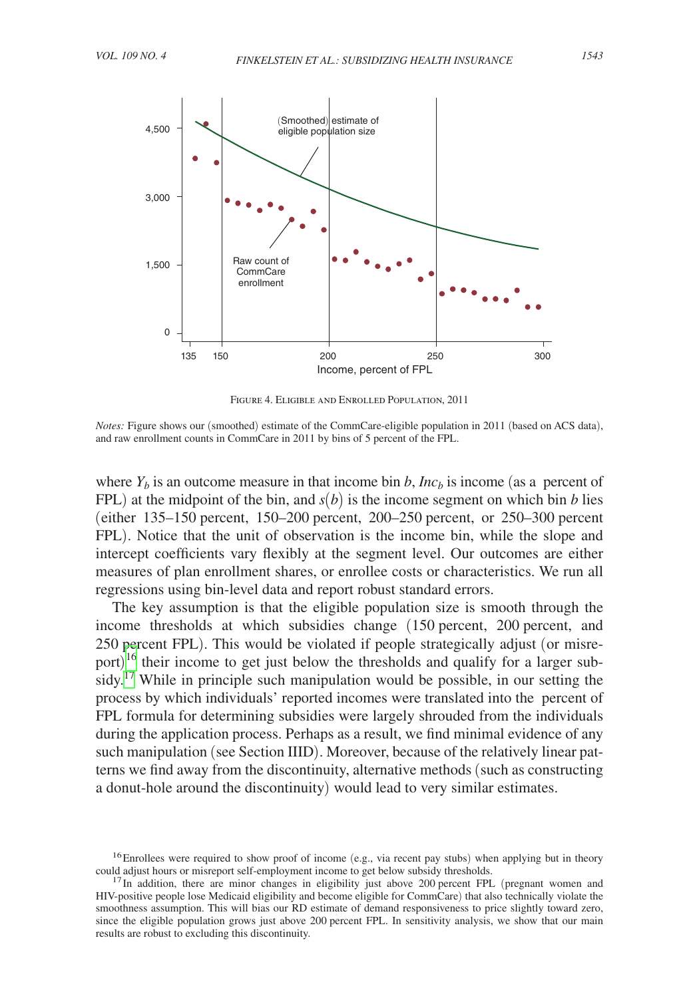<span id="page-13-0"></span>

Figure 4. Eligible and Enrolled Population, 2011

*Notes:* Figure shows our (smoothed) estimate of the CommCare-eligible population in 2011 (based on ACS data), and raw enrollment counts in CommCare in 2011 by bins of 5 percent of the FPL.

where  $Y_b$  is an outcome measure in that income bin *b*, *Inc<sub>b</sub>* is income (as a percent of FPL) at the midpoint of the bin, and  $s(b)$  is the income segment on which bin *b* lies (either 135–150 percent, 150–200 percent, 200–250 percent, or 250–300 percent FPL). Notice that the unit of observation is the income bin, while the slope and intercept coefficients vary flexibly at the segment level. Our outcomes are either measures of plan enrollment shares, or enrollee costs or characteristics. We run all regressions using bin-level data and report robust standard errors.

The key assumption is that the eligible population size is smooth through the income thresholds at which subsidies change (150 percent, 200 percent, and 250 percent FPL). This would be violated if people strategically adjust (or misreport) $\frac{16}{16}$  $\frac{16}{16}$  $\frac{16}{16}$  their income to get just below the thresholds and qualify for a larger sub-sidy.<sup>[17](#page-13-2)</sup> While in principle such manipulation would be possible, in our setting the process by which individuals' reported incomes were translated into the percent of FPL formula for determining subsidies were largely shrouded from the individuals during the application process. Perhaps as a result, we find minimal evidence of any such manipulation (see Section IIID). Moreover, because of the relatively linear patterns we find away from the discontinuity, alternative methods (such as constructing a donut-hole around the discontinuity) would lead to very similar estimates.

<span id="page-13-1"></span><sup>&</sup>lt;sup>16</sup>Enrollees were required to show proof of income (e.g., via recent pay stubs) when applying but in theory could adjust hours or misreport self-employment income to get below subsidy thresholds.

<span id="page-13-2"></span> $17$ In addition, there are minor changes in eligibility just above 200 percent FPL (pregnant women and HIV-positive people lose Medicaid eligibility and become eligible for CommCare) that also technically violate the smoothness assumption. This will bias our RD estimate of demand responsiveness to price slightly toward zero, since the eligible population grows just above 200 percent FPL. In sensitivity analysis, we show that our main results are robust to excluding this discontinuity.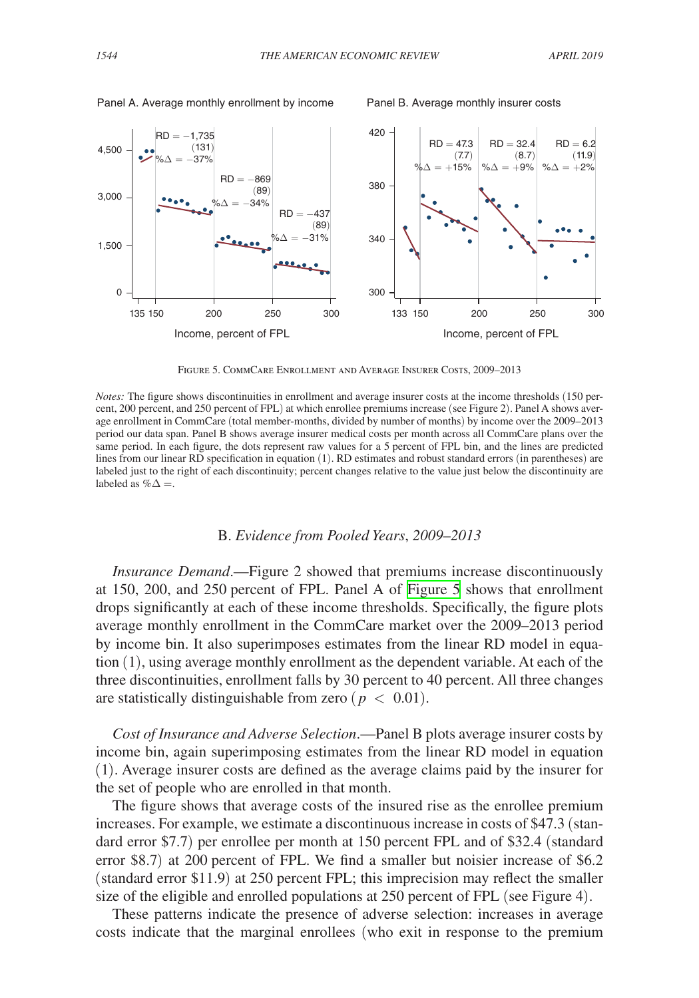



Figure 5. CommCare Enrollment and Average Insurer Costs, 2009–2013

*Notes:* The figure shows discontinuities in enrollment and average insurer costs at the income thresholds (150 percent, 200 percent, and 250 percent of FPL) at which enrollee premiums increase (see Figure 2). Panel A shows average enrollment in CommCare (total member-months, divided by number of months) by income over the 2009–2013 period our data span. Panel B shows average insurer medical costs per month across all CommCare plans over the same period. In each figure, the dots represent raw values for a 5 percent of FPL bin, and the lines are predicted lines from our linear RD specification in equation (1). RD estimates and robust standard errors (in parentheses) are labeled just to the right of each discontinuity; percent changes relative to the value just below the discontinuity are labeled as  $% \triangle$  =.

#### B. *Evidence from Pooled Years*, *2009–2013*

*Insurance Demand*.—Figure 2 showed that premiums increase discontinuously at 150, 200, and 250 percent of FPL. Panel A of Figure 5 shows that enrollment drops significantly at each of these income thresholds. Specifically, the figure plots average monthly enrollment in the CommCare market over the 2009–2013 period by income bin. It also superimposes estimates from the linear RD model in equation (1), using average monthly enrollment as the dependent variable. At each of the three discontinuities, enrollment falls by 30 percent to 40 percent. All three changes are statistically distinguishable from zero ( $p < 0.01$ ).

*Cost of Insurance and Adverse Selection*.—Panel B plots average insurer costs by income bin, again superimposing estimates from the linear RD model in equation (1). Average insurer costs are defined as the average claims paid by the insurer for the set of people who are enrolled in that month.

The figure shows that average costs of the insured rise as the enrollee premium increases. For example, we estimate a discontinuous increase in costs of \$47.3 (standard error \$7.7) per enrollee per month at 150 percent FPL and of \$32.4 (standard error \$8.7) at 200 percent of FPL. We find a smaller but noisier increase of \$6.2 (standard error \$11.9) at 250 percent FPL; this imprecision may reflect the smaller size of the eligible and enrolled populations at 250 percent of FPL (see Figure 4).

These patterns indicate the presence of adverse selection: increases in average costs indicate that the marginal enrollees (who exit in response to the premium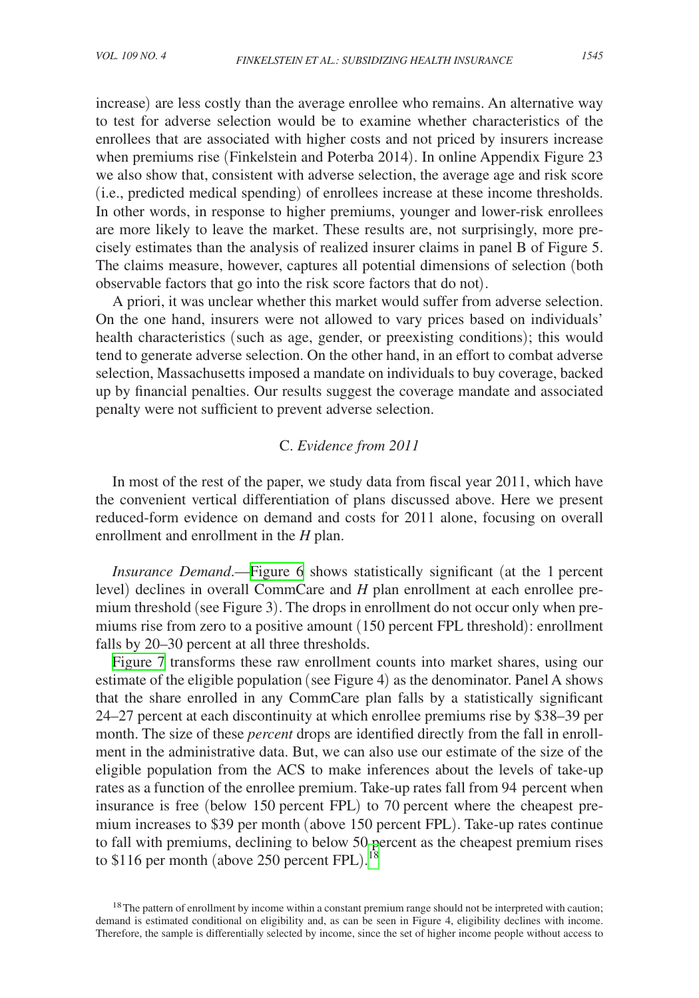increase) are less costly than the average enrollee who remains. An alternative way to test for adverse selection would be to examine whether characteristics of the enrollees that are associated with higher costs and not priced by insurers increase when premiums rise (Finkelstein and Poterba 2014). In online Appendix Figure 23 we also show that, consistent with adverse selection, the average age and risk score (i.e., predicted medical spending) of enrollees increase at these income thresholds. In other words, in response to higher premiums, younger and lower-risk enrollees are more likely to leave the market. These results are, not surprisingly, more precisely estimates than the analysis of realized insurer claims in panel B of Figure 5. The claims measure, however, captures all potential dimensions of selection (both observable factors that go into the risk score factors that do not).

A priori, it was unclear whether this market would suffer from adverse selection. On the one hand, insurers were not allowed to vary prices based on individuals' health characteristics (such as age, gender, or preexisting conditions); this would tend to generate adverse selection. On the other hand, in an effort to combat adverse selection, Massachusetts imposed a mandate on individuals to buy coverage, backed up by financial penalties. Our results suggest the coverage mandate and associated penalty were not sufficient to prevent adverse selection.

# C. *Evidence from 2011*

In most of the rest of the paper, we study data from fiscal year 2011, which have the convenient vertical differentiation of plans discussed above. Here we present reduced-form evidence on demand and costs for 2011 alone, focusing on overall enrollment and enrollment in the *H* plan.

*Insurance Demand*.[—Figure 6](#page-16-0) shows statistically significant (at the 1 percent level) declines in overall CommCare and *H* plan enrollment at each enrollee premium threshold (see Figure 3). The drops in enrollment do not occur only when premiums rise from zero to a positive amount (150 percent FPL threshold): enrollment falls by 20–30 percent at all three thresholds.

[Figure 7](#page-16-0) transforms these raw enrollment counts into market shares, using our estimate of the eligible population (see Figure 4) as the denominator. Panel A shows that the share enrolled in any CommCare plan falls by a statistically significant 24–27 percent at each discontinuity at which enrollee premiums rise by \$38–39 per month. The size of these *percent* drops are identified directly from the fall in enrollment in the administrative data. But, we can also use our estimate of the size of the eligible population from the ACS to make inferences about the levels of take-up rates as a function of the enrollee premium. Take-up rates fall from 94 percent when insurance is free (below 150 percent FPL) to 70 percent where the cheapest premium increases to \$39 per month (above 150 percent FPL). Take-up rates continue to fall with premiums, declining to below 50 percent as the cheapest premium rises to \$116 per month (above 250 percent FPL).<sup>[18](#page-15-0)</sup>

<span id="page-15-0"></span><sup>&</sup>lt;sup>18</sup>The pattern of enrollment by income within a constant premium range should not be interpreted with caution; demand is estimated conditional on eligibility and, as can be seen in Figure 4, eligibility declines with income. Therefore, the sample is differentially selected by income, since the set of higher income people without access to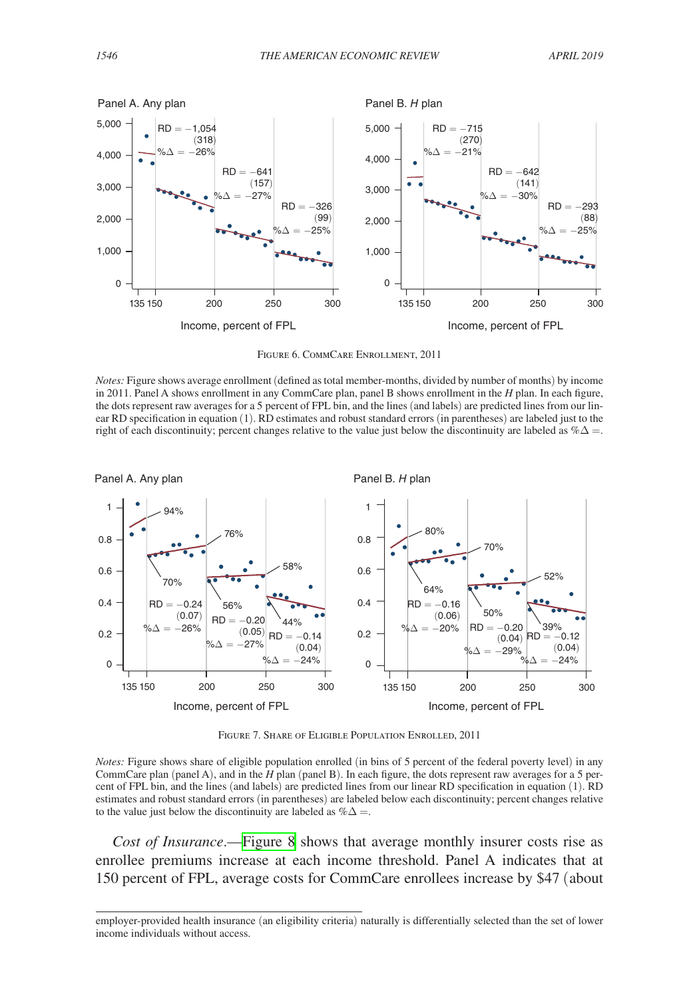<span id="page-16-0"></span>

Figure 6. CommCare Enrollment, 2011

*Notes:* Figure shows average enrollment (defined as total member-months, divided by number of months) by income in 2011. Panel A shows enrollment in any CommCare plan, panel B shows enrollment in the *H* plan. In each figure, the dots represent raw averages for a 5 percent of FPL bin, and the lines (and labels) are predicted lines from our linear RD specification in equation (1). RD estimates and robust standard errors (in parentheses) are labeled just to the right of each discontinuity; percent changes relative to the value just below the discontinuity are labeled as  $% \Delta =$ .



Figure 7. Share of Eligible Population Enrolled, 2011

*Notes:* Figure shows share of eligible population enrolled (in bins of 5 percent of the federal poverty level) in any CommCare plan (panel A), and in the *H* plan (panel B). In each figure, the dots represent raw averages for a 5 percent of FPL bin, and the lines (and labels) are predicted lines from our linear RD specification in equation (1). RD estimates and robust standard errors (in parentheses) are labeled below each discontinuity; percent changes relative to the value just below the discontinuity are labeled as  $% \Delta =$ .

*Cost of Insurance*.—[Figure 8](#page-17-0) shows that average monthly insurer costs rise as enrollee premiums increase at each income threshold. Panel A indicates that at 150 percent of FPL, average costs for CommCare enrollees increase by \$47 (about

employer-provided health insurance (an eligibility criteria) naturally is differentially selected than the set of lower income individuals without access.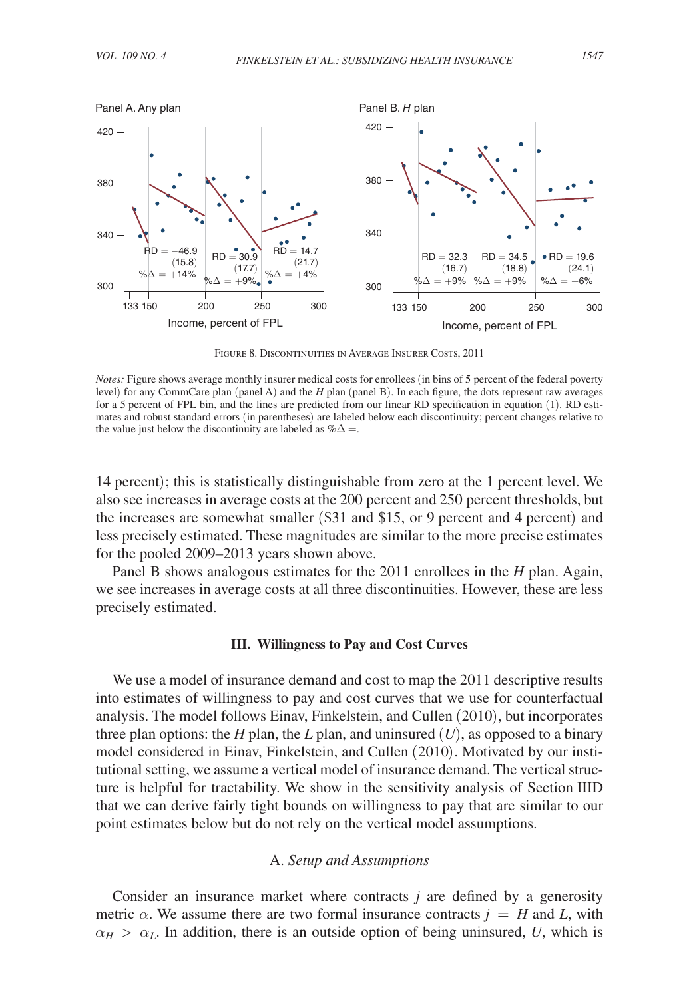<span id="page-17-0"></span>

Figure 8. Discontinuities in Average Insurer Costs, 2011

14 percent); this is statistically distinguishable from zero at the 1 percent level. We also see increases in average costs at the 200 percent and 250 percent thresholds, but the increases are somewhat smaller (\$31 and \$15, or 9 percent and 4 percent) and less precisely estimated. These magnitudes are similar to the more precise estimates for the pooled 2009–2013 years shown above.

Panel B shows analogous estimates for the 2011 enrollees in the *H* plan. Again, we see increases in average costs at all three discontinuities. However, these are less precisely estimated.

#### **III. Willingness to Pay and Cost Curves**

We use a model of insurance demand and cost to map the 2011 descriptive results into estimates of willingness to pay and cost curves that we use for counterfactual analysis. The model follows Einav, Finkelstein, and Cullen (2010), but incorporates three plan options: the *H* plan, the *L* plan, and uninsured  $(U)$ , as opposed to a binary model considered in Einav, Finkelstein, and Cullen (2010). Motivated by our institutional setting, we assume a vertical model of insurance demand. The vertical structure is helpful for tractability. We show in the sensitivity analysis of Section IIID that we can derive fairly tight bounds on willingness to pay that are similar to our point estimates below but do not rely on the vertical model assumptions.

# A. *Setup and Assumptions*

Consider an insurance market where contracts *j* are defined by a generosity metric  $\alpha$ . We assume there are two formal insurance contracts  $j = H$  and L, with  $\alpha_H > \alpha_L$ . In addition, there is an outside option of being uninsured, *U*, which is

*Notes:* Figure shows average monthly insurer medical costs for enrollees (in bins of 5 percent of the federal poverty level) for any CommCare plan (panel A) and the *H* plan (panel B). In each figure, the dots represent raw averages for a 5 percent of FPL bin, and the lines are predicted from our linear RD specification in equation (1). RD estimates and robust standard errors (in parentheses) are labeled below each discontinuity; percent changes relative to the value just below the discontinuity are labeled as  $% \Delta =$ .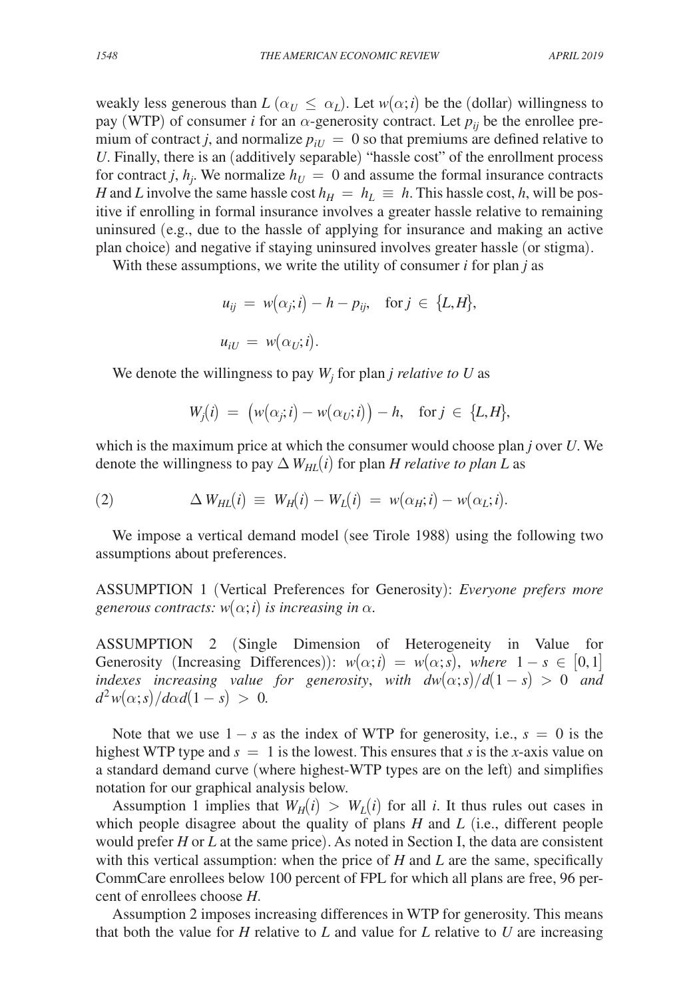weakly less generous than  $L(\alpha_U \leq \alpha_L)$ . Let  $w(\alpha; i)$  be the (dollar) willingness to pay (WTP) of consumer *i* for an  $\alpha$ -generosity contract. Let  $p_{ij}$  be the enrollee premium of contract *j*, and normalize  $p_{iU} = 0$  so that premiums are defined relative to *U*. Finally, there is an (additively separable) "hassle cost" of the enrollment process for contract *j*,  $h_j$ . We normalize  $h_U = 0$  and assume the formal insurance contracts *H* and *L* involve the same hassle cost  $h_H = h_L \equiv h$ . This hassle cost, *h*, will be positive if enrolling in formal insurance involves a greater hassle relative to remaining uninsured (e.g., due to the hassle of applying for insurance and making an active plan choice) and negative if staying uninsured involves greater hassle (or stigma).

With these assumptions, we write the utility of consumer *i* for plan *j* as

$$
u_{ij} = w(\alpha_j; i) - h - p_{ij}, \text{ for } j \in \{L, H\},
$$
  

$$
u_{iU} = w(\alpha_U; i).
$$

We denote the willingness to pay  $W_j$  for plan *j relative to U* as

$$
W_j(i) \ = \ \big( w\big(\alpha_j; i\big) - w\big(\alpha_U; i\big) \big) - h, \quad \text{for } j \ \in \ \{L, H\},
$$

which is the maximum price at which the consumer would choose plan *j* over *U*. We denote the willingness to pay  $\Delta W_{HI}(i)$  for plan *H relative to plan L* as

(2) 
$$
\Delta W_{HL}(i) \equiv W_H(i) - W_L(i) = w(\alpha_H; i) - w(\alpha_L; i).
$$

We impose a vertical demand model (see Tirole 1988) using the following two assumptions about preferences.

ASSUMPTION 1 (Vertical Preferences for Generosity): *Everyone prefers more generous contracts:*  $w(\alpha; i)$  *is increasing in*  $\alpha$ *.* 

ASSUMPTION 2 (Single Dimension of Heterogeneity in Value for Generosity (Increasing Differences)):  $w(\alpha; i) = w(\alpha; s)$ , where  $1 - s \in [0, 1]$ *indexes increasing value for generosity, with*  $dw(\alpha; s)/d(1-s) > 0$  *and*  $d^2w(\alpha; s)/d\alpha d(1-s) > 0.$ 

Note that we use  $1 - s$  as the index of WTP for generosity, i.e.,  $s = 0$  is the highest WTP type and  $s = 1$  is the lowest. This ensures that *s* is the *x*-axis value on a standard demand curve (where highest-WTP types are on the left) and simplifies notation for our graphical analysis below.

Assumption 1 implies that  $W_H(i) > W_I(i)$  for all *i*. It thus rules out cases in which people disagree about the quality of plans *H* and *L* (i.e., different people would prefer *H* or *L* at the same price). As noted in Section I, the data are consistent with this vertical assumption: when the price of *H* and *L* are the same, specifically CommCare enrollees below 100 percent of FPL for which all plans are free, 96 percent of enrollees choose *H*.

Assumption 2 imposes increasing differences in WTP for generosity. This means that both the value for *H* relative to *L* and value for *L* relative to *U* are increasing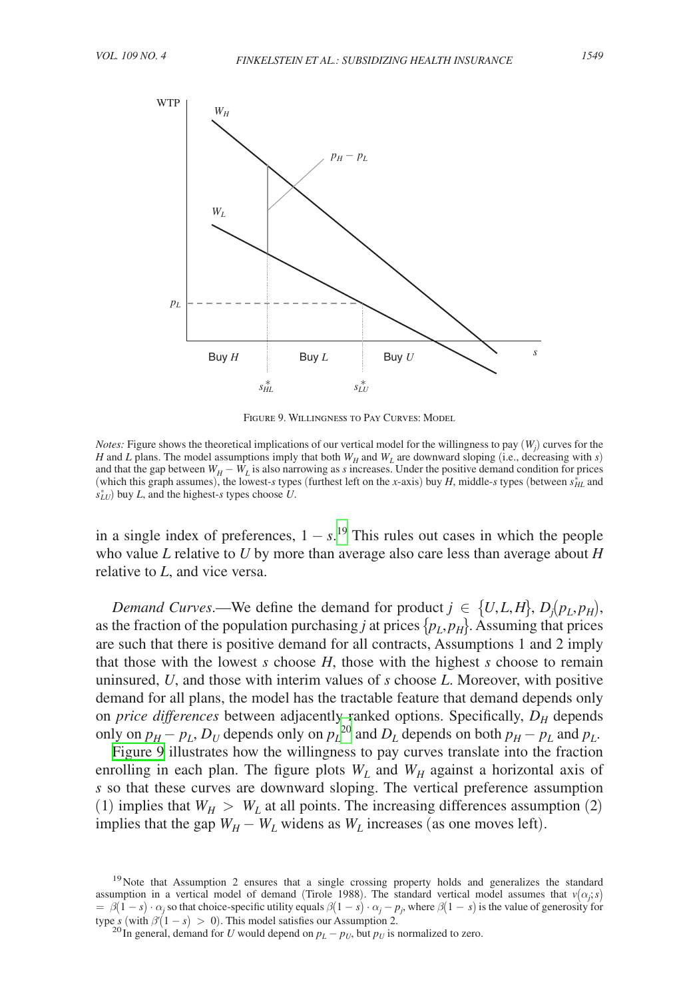

Figure 9. Willingness to Pay Curves: Model

*Notes:* Figure shows the theoretical implications of our vertical model for the willingness to pay  $(W_j)$  curves for the *H* and *L* plans. The model assumptions imply that both  $W_H$  and  $W_L$  are downward sloping (i.e., decreasing with *s*) and that the gap between  $W_H - W_L$  is also narrowing as *s* increases. Under the positive demand condition for prices (which this graph assumes), the lowest-*s* types (furthest left on the *x*-axis) buy *H*, middle-*s* types (between  $s_{HL}^*$  and *sLU* ⁎ ) buy *L*, and the highest-*s* types choose *U*.

in a single index of preferences,  $1 - s$ .<sup>[19](#page-19-0)</sup> This rules out cases in which the people who value *L* relative to *U* by more than average also care less than average about *H* relative to *L*, and vice versa.

*Demand Curves.*—We define the demand for product  $j \in \{U, L, H\}$ ,  $D_i(p_i, p_H)$ , as the fraction of the population purchasing *j* at prices  $\{p_L, p_H\}$ . Assuming that prices are such that there is positive demand for all contracts, Assumptions 1 and 2 imply that those with the lowest *s* choose *H*, those with the highest *s* choose to remain uninsured, *U*, and those with interim values of *s* choose *L*. Moreover, with positive demand for all plans, the model has the tractable feature that demand depends only on *price differences* between adjacently ranked options. Specifically,  $D_H$  depends only on  $p_H - p_L$ ,  $D_U$  depends only on  $p_L^{20}$  $p_L^{20}$  $p_L^{20}$  and  $D_L$  depends on both  $p_H - p_L$  and  $p_L$ .

Figure 9 illustrates how the willingness to pay curves translate into the fraction enrolling in each plan. The figure plots  $W_L$  and  $W_H$  against a horizontal axis of *s* so that these curves are downward sloping. The vertical preference assumption (1) implies that  $W_H > W_L$  at all points. The increasing differences assumption (2) implies that the gap  $W_H - W_L$  widens as  $W_L$  increases (as one moves left).

<span id="page-19-0"></span><sup>&</sup>lt;sup>19</sup>Note that Assumption 2 ensures that a single crossing property holds and generalizes the standard assumption in a vertical model of demand (Tirole 1988). The standard vertical model assumes that  $v(\alpha_j; s)$  $= \beta(1-s) \cdot \alpha_j$  so that choice-specific utility equals  $\beta(1-s) \cdot \alpha_j - p_j$ , where  $\beta(1-s)$  is the value of generosity for type *s* (with  $\beta'(1 - s) > 0$ ). This model satisfies our Assumption 2. <sup>20</sup> In general, demand for *U* would depend on  $p_L - p_U$ , but  $p_U$  is normalized to zero.

<span id="page-19-1"></span>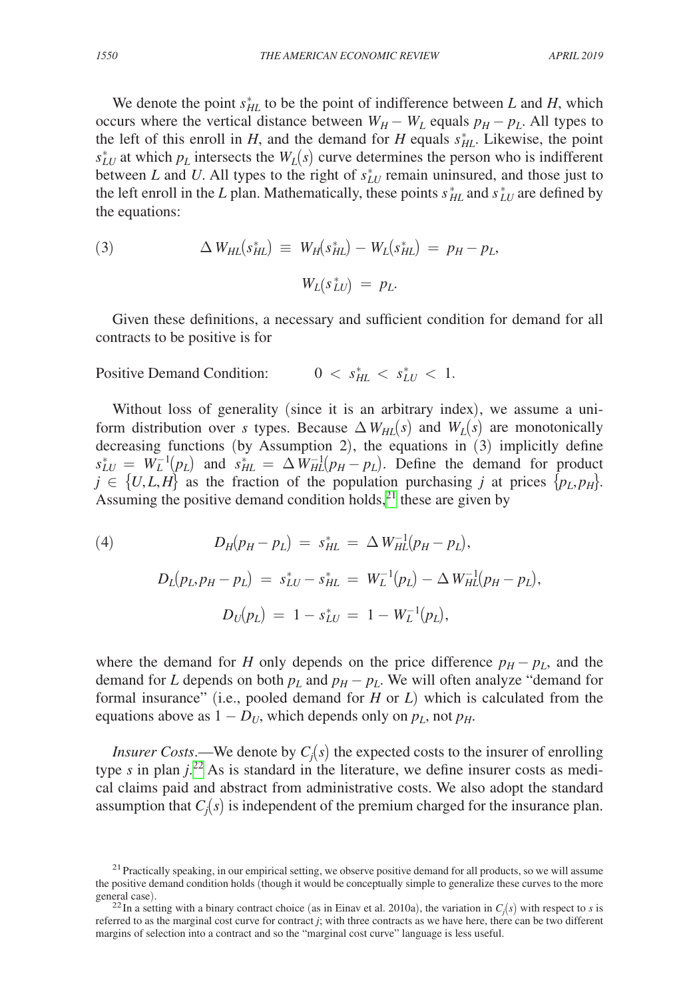We denote the point  $s_{HL}^*$  to be the point of indifference between *L* and *H*, which occurs where the vertical distance between  $W_H - W_L$  equals  $p_H - p_L$ . All types to the left of this enroll in *H*, and the demand for *H* equals  $s_{HL}^*$ . Likewise, the point  $s_{LU}^*$  at which  $p_L$  intersects the  $W_L(s)$  curve determines the person who is indifferent between *L* and *U*. All types to the right of  $s_{LU}^*$  remain uninsured, and those just to the left enroll in the *L* plan. Mathematically, these points  $s_{HL}^*$  and  $s_{LU}^*$  are defined by the equations:

(3) 
$$
\Delta W_{HL}(s_{HL}^*) = W_H(s_{HL}^*) - W_L(s_{HL}^*) = p_H - p_L,
$$

$$
W_L(s_{LU}^*) = p_L.
$$

Given these definitions, a necessary and sufficient condition for demand for all contracts to be positive is for

Positive Demand Condition: 
$$
0 < s_{HL}^* < s_{LU}^* < 1.
$$

Without loss of generality (since it is an arbitrary index), we assume a uniform distribution over *s* types. Because  $\Delta W_{HL}(s)$  and  $W_L(s)$  are monotonically decreasing functions (by Assumption 2), the equations in  $(3)$  implicitly define  $s_{LU}^* = W_L^{-1}(p_L)$  and  $s_{HL}^* = \Delta W_{HL}^{-1}(p_H - p_L)$ . Define the demand for product  $j \in \{U, L, H\}$  as the fraction of the population purchasing *j* at prices  $\{p_L, p_H\}$ . Assuming the positive demand condition holds, $^{21}$  these are given by

(4)  
\n
$$
D_H(p_H - p_L) = s_{HL}^* = \Delta W_{HL}^{-1}(p_H - p_L),
$$
\n
$$
D_L(p_L, p_H - p_L) = s_{LU}^* - s_{HL}^* = W_L^{-1}(p_L) - \Delta W_{HL}^{-1}(p_H - p_L),
$$
\n
$$
D_U(p_L) = 1 - s_{LU}^* = 1 - W_L^{-1}(p_L),
$$

where the demand for *H* only depends on the price difference  $p_H - p_L$ , and the demand for *L* depends on both  $p_L$  and  $p_H - p_L$ . We will often analyze "demand for formal insurance" (i.e., pooled demand for *H* or *L*) which is calculated from the equations above as  $1 - D_U$ , which depends only on  $p_L$ , not  $p_H$ .

*Insurer Costs.*—We denote by  $C_i(s)$  the expected costs to the insurer of enrolling type  $s$  in plan  $j^{22}$ . As is standard in the literature, we define insurer costs as medical claims paid and abstract from administrative costs. We also adopt the standard assumption that  $C_i(s)$  is independent of the premium charged for the insurance plan.

<span id="page-20-0"></span> $21$  Practically speaking, in our empirical setting, we observe positive demand for all products, so we will assume the positive demand condition holds (though it would be conceptually simple to generalize these curves to the more general case).

<span id="page-20-1"></span><sup>&</sup>lt;sup>22</sup>In a setting with a binary contract choice (as in Einav et al. 2010a), the variation in  $C_i(s)$  with respect to *s* is referred to as the marginal cost curve for contract *j*; with three contracts as we have here, there can be two different margins of selection into a contract and so the "marginal cost curve" language is less useful.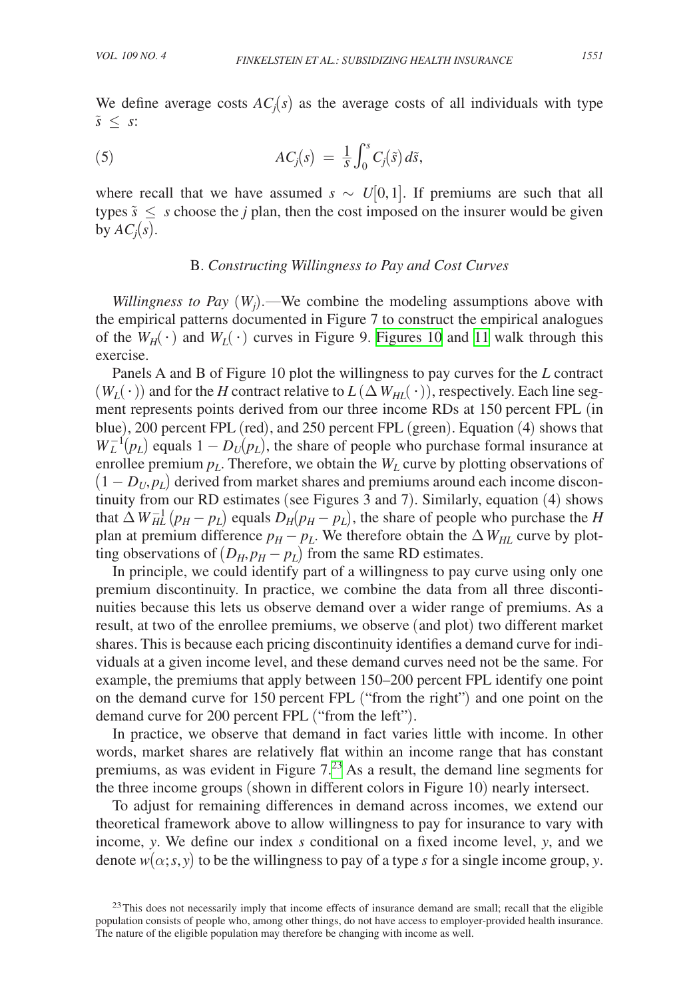We define average costs  $AC<sub>i</sub>(s)$  as the average costs of all individuals with type *s*̃ ≤ *s*:

(5) 
$$
AC_j(s) = \frac{1}{s} \int_0^s C_j(\tilde{s}) d\tilde{s},
$$

where recall that we have assumed  $s \sim U[0,1]$ . If premiums are such that all types  $\tilde{s} \leq s$  choose the *j* plan, then the cost imposed on the insurer would be given by  $AC_i(s)$ .

# B. *Constructing Willingness to Pay and Cost Curves*

*Willingness to Pay*  $(W_j)$ .—We combine the modeling assumptions above with the empirical patterns documented in Figure 7 to construct the empirical analogues of the  $W_H(\cdot)$  and  $W_L(\cdot)$  curves in Figure 9. [Figures 10](#page-22-0) and [11](#page-23-0) walk through this exercise.

Panels A and B of Figure 10 plot the willingness to pay curves for the *L* contract  $(W_L(\cdot))$  and for the *H* contract relative to  $L(\Delta W_{HL}(\cdot))$ , respectively. Each line segment represents points derived from our three income RDs at 150 percent FPL (in blue), 200 percent FPL (red), and 250 percent FPL (green). Equation (4) shows that  $W_L^{-1}(p_L)$  equals  $1 - D_U(p_L)$ , the share of people who purchase formal insurance at enrollee premium  $p_L$ . Therefore, we obtain the  $W_L$  curve by plotting observations of  $(1 - D_U, p_L)$  derived from market shares and premiums around each income discontinuity from our RD estimates (see Figures 3 and 7). Similarly, equation (4) shows that  $\Delta W_{HL}^{-1}(p_H - p_L)$  equals  $D_H(p_H - p_L)$ , the share of people who purchase the *H* plan at premium difference  $p_H - p_L$ . We therefore obtain the  $\Delta W_{HL}$  curve by plotting observations of  $(D_H, p_H - p_L)$  from the same RD estimates.

In principle, we could identify part of a willingness to pay curve using only one premium discontinuity. In practice, we combine the data from all three discontinuities because this lets us observe demand over a wider range of premiums. As a result, at two of the enrollee premiums, we observe (and plot) two different market shares. This is because each pricing discontinuity identifies a demand curve for individuals at a given income level, and these demand curves need not be the same. For example, the premiums that apply between 150–200 percent FPL identify one point on the demand curve for 150 percent FPL ("from the right") and one point on the demand curve for 200 percent FPL ("from the left").

In practice, we observe that demand in fact varies little with income. In other words, market shares are relatively flat within an income range that has constant premiums, as was evident in Figure  $7<sup>23</sup>$  As a result, the demand line segments for the three income groups (shown in different colors in Figure 10) nearly intersect.

To adjust for remaining differences in demand across incomes, we extend our theoretical framework above to allow willingness to pay for insurance to vary with income, *y*. We define our index *s* conditional on a fixed income level, *y*, and we denote  $w(\alpha; s, y)$  to be the willingness to pay of a type *s* for a single income group, *y*.

<span id="page-21-0"></span><sup>&</sup>lt;sup>23</sup>This does not necessarily imply that income effects of insurance demand are small; recall that the eligible population consists of people who, among other things, do not have access to employer-provided health insurance. The nature of the eligible population may therefore be changing with income as well.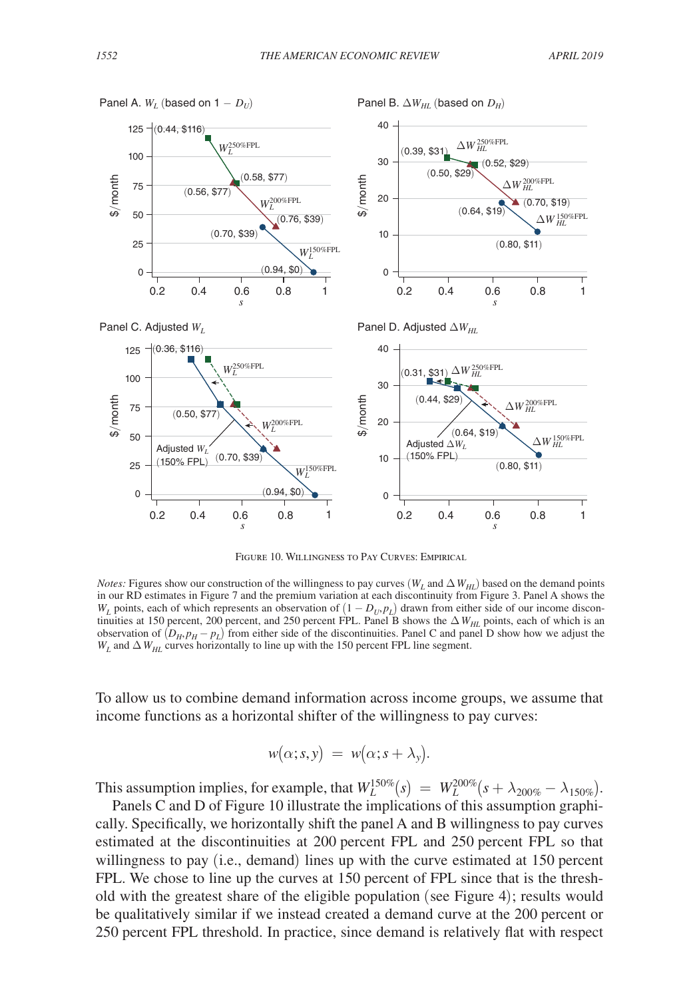<span id="page-22-0"></span>

Figure 10. Willingness to Pay Curves: Empirical

*Notes:* Figures show our construction of the willingness to pay curves ( $W_L$  and  $\Delta W_{HL}$ ) based on the demand points in our RD estimates in Figure 7 and the premium variation at each discontinuity from Figure 3. Panel A shows the *W<sub>L</sub>* points, each of which represents an observation of  $(1 - D_U, p_L)$  drawn from either side of our income discontinuities at 150 percent, 200 percent, and 250 percent FPL. Panel B shows the  $\Delta W_{HI}$  points, each of which is an observation of  $(D_H, p_H - p_L)$  from either side of the discontinuities. Panel C and panel D show how we adjust the  $W_L$  and  $\Delta W_{HL}$  curves horizontally to line up with the 150 percent FPL line segment.

To allow us to combine demand information across income groups, we assume that income functions as a horizontal shifter of the willingness to pay curves:

$$
w(\alpha;s,y) = w(\alpha;s+\lambda_y).
$$

This assumption implies, for example, that  $W_L^{150\%}(s) = W_L^{200\%}(s + \lambda_{200\%} - \lambda_{150\%}).$ 

Panels C and D of Figure 10 illustrate the implications of this assumption graphically. Specifically, we horizontally shift the panel A and B willingness to pay curves estimated at the discontinuities at 200 percent FPL and 250 percent FPL so that willingness to pay (i.e., demand) lines up with the curve estimated at 150 percent FPL. We chose to line up the curves at 150 percent of FPL since that is the threshold with the greatest share of the eligible population (see Figure 4); results would be qualitatively similar if we instead created a demand curve at the 200 percent or 250 percent FPL threshold. In practice, since demand is relatively flat with respect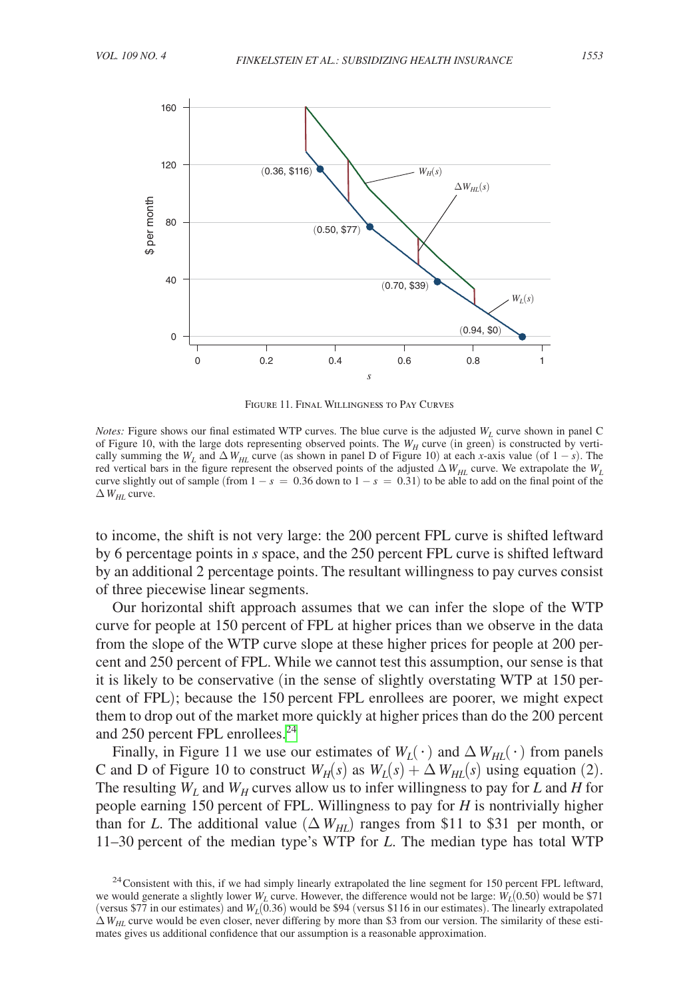<span id="page-23-0"></span>

Figure 11. Final Willingness to Pay Curves

*Notes:* Figure shows our final estimated WTP curves. The blue curve is the adjusted  $W<sub>L</sub>$  curve shown in panel C of Figure 10, with the large dots representing observed points. The  $W_H$  curve (in green) is constructed by vertically summing the  $W_L$  and  $\Delta W_{HL}$  curve (as shown in panel D of Figure 10) at each *x*-axis value (of 1 – *s*). The red vertical bars in the figure represent the observed points of the adjusted  $\Delta W_{HL}$  curve. We extrapolate the  $W_L$ curve slightly out of sample (from  $1 - s = 0.36$  down to  $1 - s = 0.31$ ) to be able to add on the final point of the  $\Delta W_{HL}$  curve.

to income, the shift is not very large: the 200 percent FPL curve is shifted leftward by 6 percentage points in *s* space, and the 250 percent FPL curve is shifted leftward by an additional 2 percentage points. The resultant willingness to pay curves consist of three piecewise linear segments.

Our horizontal shift approach assumes that we can infer the slope of the WTP curve for people at 150 percent of FPL at higher prices than we observe in the data from the slope of the WTP curve slope at these higher prices for people at 200 percent and 250 percent of FPL. While we cannot test this assumption, our sense is that it is likely to be conservative (in the sense of slightly overstating WTP at 150 percent of FPL); because the 150 percent FPL enrollees are poorer, we might expect them to drop out of the market more quickly at higher prices than do the 200 percent and 250 percent FPL enrollees.<sup>24</sup>

Finally, in Figure 11 we use our estimates of  $W_I(\cdot)$  and  $\Delta W_{HI}(\cdot)$  from panels C and D of Figure 10 to construct  $W_H(s)$  as  $W_L(s) + \Delta W_{HL}(s)$  using equation (2). The resulting  $W_L$  and  $W_H$  curves allow us to infer willingness to pay for *L* and *H* for people earning 150 percent of FPL. Willingness to pay for *H* is nontrivially higher than for *L*. The additional value  $(\Delta W_{HL})$  ranges from \$11 to \$31 per month, or 11–30 percent of the median type's WTP for *L*. The median type has total WTP

<span id="page-23-1"></span><sup>&</sup>lt;sup>24</sup> Consistent with this, if we had simply linearly extrapolated the line segment for 150 percent FPL leftward, we would generate a slightly lower  $W_L$  curve. However, the difference would not be large:  $\hat{W}_L(0.50)$  would be \$71 (versus \$77 in our estimates) and  $W_L(0.36)$  would be \$94 (versus \$116 in our estimates). The linearly extrapolated  $\Delta W_{HL}$  curve would be even closer, never differing by more than \$3 from our version. The similarity of these estimates gives us additional confidence that our assumption is a reasonable approximation.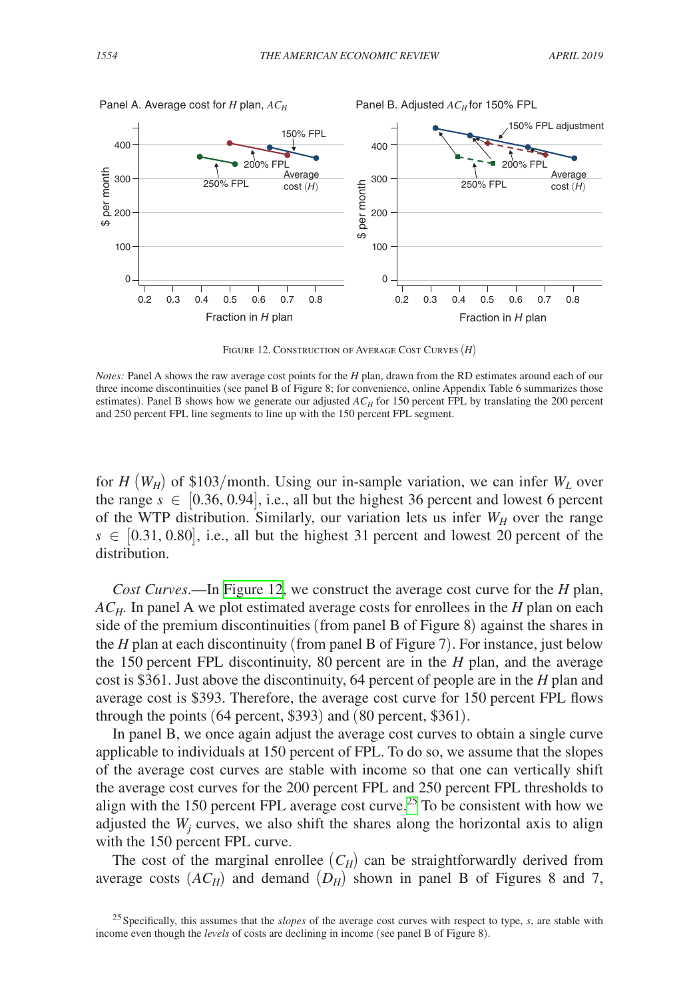

Figure 12. Construction of Average Cost Curves (*H*)

for  $H(W_H)$  of \$103/month. Using our in-sample variation, we can infer  $W_L$  over the range  $s \in [0.36, 0.94]$ , i.e., all but the highest 36 percent and lowest 6 percent of the WTP distribution. Similarly, our variation lets us infer  $W_H$  over the range  $s \in [0.31, 0.80]$ , i.e., all but the highest 31 percent and lowest 20 percent of the distribution.

*Cost Curves*.—In Figure 12, we construct the average cost curve for the *H* plan, *AC<sub>H</sub>*. In panel A we plot estimated average costs for enrollees in the *H* plan on each side of the premium discontinuities (from panel B of Figure 8) against the shares in the *H* plan at each discontinuity (from panel B of Figure 7). For instance, just below the 150 percent FPL discontinuity, 80 percent are in the *H* plan, and the average cost is \$361. Just above the discontinuity, 64 percent of people are in the *H* plan and average cost is \$393. Therefore, the average cost curve for 150 percent FPL flows through the points (64 percent, \$393) and (80 percent, \$361).

In panel B, we once again adjust the average cost curves to obtain a single curve applicable to individuals at 150 percent of FPL. To do so, we assume that the slopes of the average cost curves are stable with income so that one can vertically shift the average cost curves for the 200 percent FPL and 250 percent FPL thresholds to align with the 150 percent FPL average cost curve.<sup>25</sup> To be consistent with how we adjusted the  $W_j$  curves, we also shift the shares along the horizontal axis to align with the 150 percent FPL curve.

The cost of the marginal enrollee  $(C_H)$  can be straightforwardly derived from average costs  $(AC_H)$  and demand  $(D_H)$  shown in panel B of Figures 8 and 7,

*Notes:* Panel A shows the raw average cost points for the *H* plan, drawn from the RD estimates around each of our three income discontinuities (see panel B of Figure 8; for convenience, online Appendix Table 6 summarizes those estimates). Panel B shows how we generate our adjusted  $AC_H$  for 150 percent FPL by translating the 200 percent and 250 percent FPL line segments to line up with the 150 percent FPL segment.

<span id="page-24-0"></span><sup>25</sup>Specifically, this assumes that the *slopes* of the average cost curves with respect to type, *s*, are stable with income even though the *levels* of costs are declining in income (see panel B of Figure 8).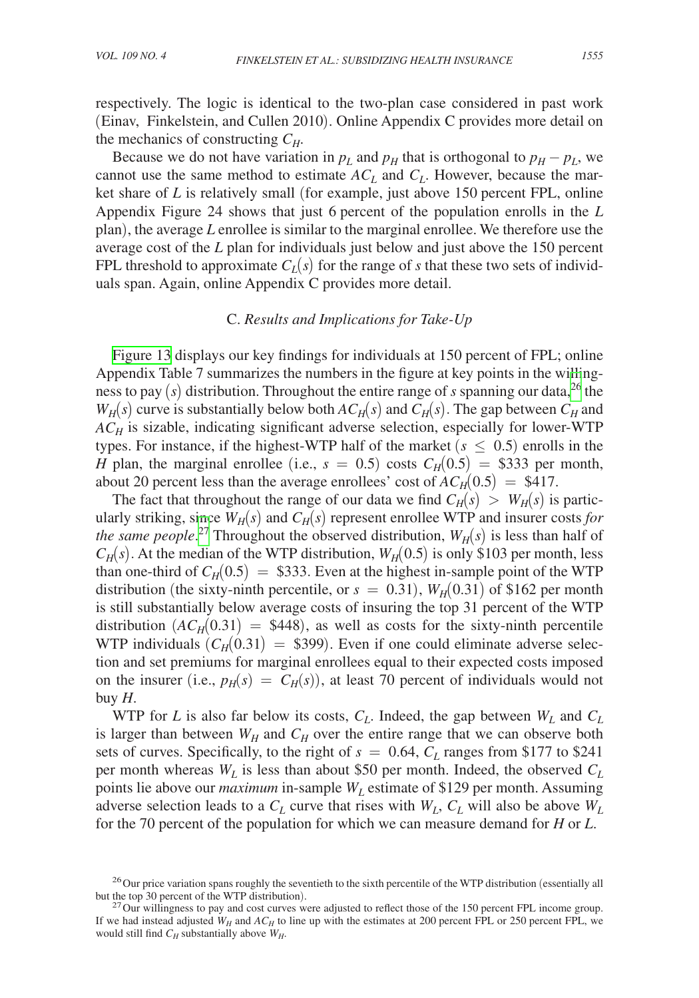respectively. The logic is identical to the two-plan case considered in past work (Einav, Finkelstein, and Cullen 2010). Online Appendix C provides more detail on the mechanics of constructing  $C_H$ .

Because we do not have variation in  $p<sub>L</sub>$  and  $p<sub>H</sub>$  that is orthogonal to  $p<sub>H</sub> - p<sub>L</sub>$ , we cannot use the same method to estimate  $AC<sub>L</sub>$  and  $C<sub>L</sub>$ . However, because the market share of *L* is relatively small (for example, just above 150 percent FPL, online Appendix Figure 24 shows that just 6 percent of the population enrolls in the *L* plan), the average *L* enrollee is similar to the marginal enrollee. We therefore use the average cost of the *L* plan for individuals just below and just above the 150 percent FPL threshold to approximate  $C_L(s)$  for the range of *s* that these two sets of individuals span. Again, online Appendix C provides more detail.

### C. *Results and Implications for Take-Up*

[Figure 13](#page-26-0) displays our key findings for individuals at 150 percent of FPL; online Appendix Table 7 summarizes the numbers in the figure at key points in the willingness to pay (*s*) distribution. Throughout the entire range of *s* spanning our data,[26](#page-25-0) the  $W_H(s)$  curve is substantially below both  $AC_H(s)$  and  $C_H(s)$ . The gap between  $C_H$  and *ACH* is sizable, indicating significant adverse selection, especially for lower-WTP types. For instance, if the highest-WTP half of the market  $(s \leq 0.5)$  enrolls in the *H* plan, the marginal enrollee (i.e.,  $s = 0.5$ ) costs  $C_H(0.5) = $333$  per month, about 20 percent less than the average enrollees' cost of  $AC_H(0.5) = $417$ .

The fact that throughout the range of our data we find  $C_H(s) > W_H(s)$  is particularly striking, since  $W_H(s)$  and  $C_H(s)$  represent enrollee WTP and insurer costs *for the same people*.<sup>27</sup> Throughout the observed distribution,  $W_H(s)$  is less than half of  $C_H(s)$ . At the median of the WTP distribution,  $W_H(0.5)$  is only \$103 per month, less than one-third of  $C_H(0.5) = $333$ . Even at the highest in-sample point of the WTP distribution (the sixty-ninth percentile, or  $s = 0.31$ ),  $W_H(0.31)$  of \$162 per month is still substantially below average costs of insuring the top 31 percent of the WTP distribution  $(AC_H(0.31) = $448)$ , as well as costs for the sixty-ninth percentile WTP individuals  $(C_H(0.31) = $399)$ . Even if one could eliminate adverse selection and set premiums for marginal enrollees equal to their expected costs imposed on the insurer (i.e.,  $p_H(s) = C_H(s)$ ), at least 70 percent of individuals would not buy  $H$ .

WTP for *L* is also far below its costs,  $C_L$ . Indeed, the gap between  $W_L$  and  $C_L$ is larger than between  $W_H$  and  $C_H$  over the entire range that we can observe both sets of curves. Specifically, to the right of  $s = 0.64$ ,  $C_L$  ranges from \$177 to \$241 per month whereas  $W_L$  is less than about \$50 per month. Indeed, the observed  $C_L$ points lie above our *maximum* in-sample  $W_L$  estimate of \$129 per month. Assuming adverse selection leads to a  $C_L$  curve that rises with  $W_L$ ,  $C_L$  will also be above  $W_L$ for the 70 percent of the population for which we can measure demand for *H* or *L*.

<span id="page-25-0"></span><sup>&</sup>lt;sup>26</sup>Our price variation spans roughly the seventieth to the sixth percentile of the WTP distribution (essentially all but the top 30 percent of the WTP distribution).

<span id="page-25-1"></span> $^{27}$  Our willingness to pay and cost curves were adjusted to reflect those of the 150 percent FPL income group. If we had instead adjusted  $W_H$  and  $AC_H$  to line up with the estimates at 200 percent FPL or 250 percent FPL, we would still find  $C_H$  substantially above  $W_H$ .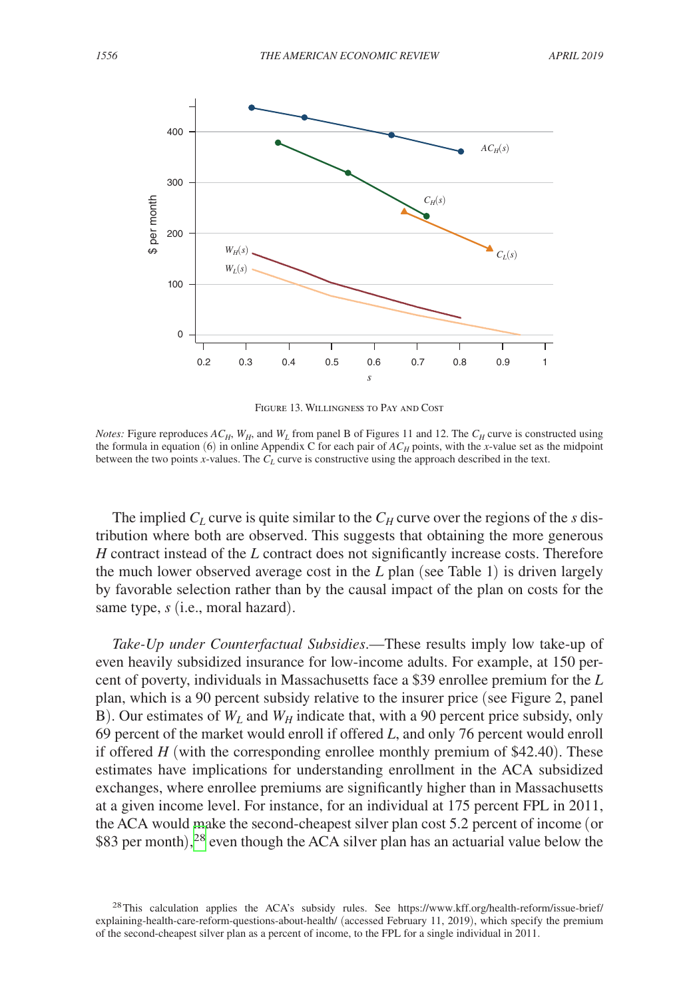<span id="page-26-0"></span>

Figure 13. Willingness to Pay and Cost

*Notes:* Figure reproduces  $AC_H$ ,  $W_H$ , and  $W_L$  from panel B of Figures 11 and 12. The  $C_H$  curve is constructed using the formula in equation (6) in online Appendix C for each pair of  $AC_H$  points, with the *x*-value set as the midpoint between the two points *x*-values. The  $C_L$  curve is constructive using the approach described in the text.

The implied  $C_L$  curve is quite similar to the  $C_H$  curve over the regions of the *s* distribution where both are observed. This suggests that obtaining the more generous *H* contract instead of the *L* contract does not significantly increase costs. Therefore the much lower observed average cost in the *L* plan (see Table 1) is driven largely by favorable selection rather than by the causal impact of the plan on costs for the same type, *s* (i.e., moral hazard).

*Take-Up under Counterfactual Subsidies*.—These results imply low take-up of even heavily subsidized insurance for low-income adults. For example, at 150 percent of poverty, individuals in Massachusetts face a \$39 enrollee premium for the *L* plan, which is a 90 percent subsidy relative to the insurer price (see Figure 2, panel B). Our estimates of  $W_L$  and  $W_H$  indicate that, with a 90 percent price subsidy, only 69 percent of the market would enroll if offered *L*, and only 76 percent would enroll if offered *H* (with the corresponding enrollee monthly premium of \$42.40). These estimates have implications for understanding enrollment in the ACA subsidized exchanges, where enrollee premiums are significantly higher than in Massachusetts at a given income level. For instance, for an individual at 175 percent FPL in 2011, the ACA would make the second-cheapest silver plan cost 5.2 percent of income (or \$83 per month),<sup>[28](#page-26-1)</sup> even though the ACA silver plan has an actuarial value below the

<span id="page-26-1"></span><sup>&</sup>lt;sup>28</sup>This calculation applies the ACA's subsidy rules. See [https://www.kff.org/health-reform/issue-brief/](https://www.kff.org/health-reform/issue-brief/explaining-health-care-reform-questions-about-health/) [explaining-health-care-reform-questions-about-health/](https://www.kff.org/health-reform/issue-brief/explaining-health-care-reform-questions-about-health/) (accessed February 11, 2019), which specify the premium of the second-cheapest silver plan as a percent of income, to the FPL for a single individual in 2011.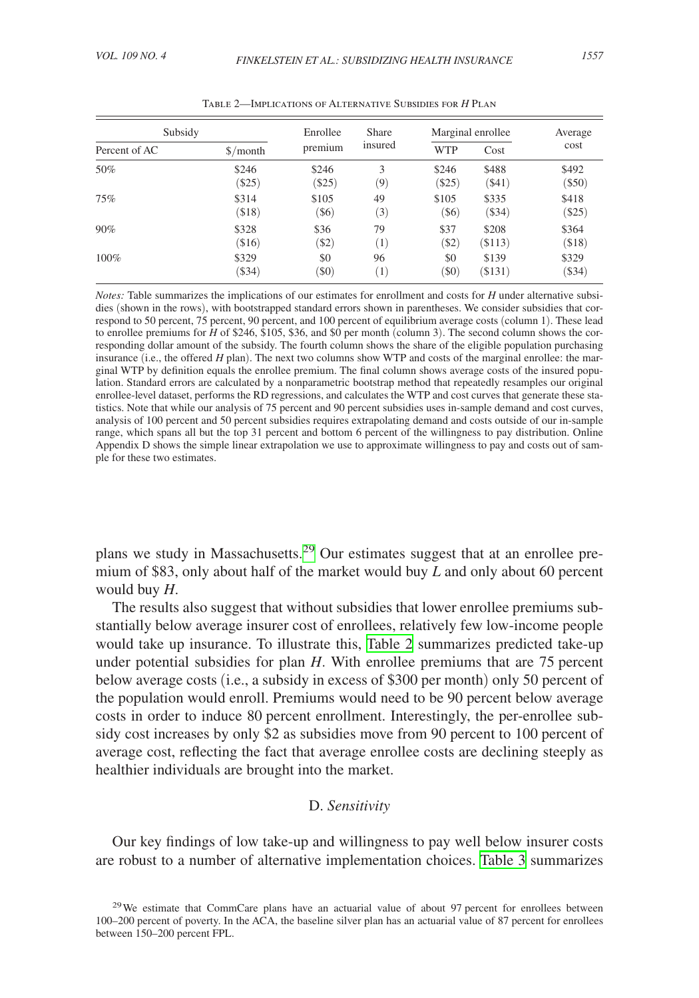| Subsidy       |                                       | Enrollee | <b>Share</b> | Marginal enrollee |              | Average      |
|---------------|---------------------------------------|----------|--------------|-------------------|--------------|--------------|
| Percent of AC | $\frac{\sinh(\theta)}{\sinh(\theta)}$ | premium  | insured      | <b>WTP</b>        | Cost         | cost         |
| 50%           | \$246                                 | \$246    | 3            | \$246             | \$488        | \$492        |
|               | $(\$25)$                              | $(\$25)$ | (9)          | $(\$25)$          | $($ \$41)    | $($ \$50)    |
| 75%           | \$314                                 | \$105    | 49           | \$105             | \$335        | \$418        |
|               | ( \$18)                               | (\$6)    | (3)          | $($ \$6)          | $($ \$34 $)$ | $($ \$25)    |
| 90%           | \$328                                 | \$36     | 79           | \$37              | \$208        | \$364        |
|               | ( \$16)                               | (S2)     | (1)          | (S2)              | $($ \$113)   | ( \$18)      |
| 100%          | \$329                                 | \$0      | 96           | \$0               | \$139        | \$329        |
|               | $(\$34)$                              | $($ \$0) | (1)          | $($ \$0)          | $(\$131)$    | $($ \$34 $)$ |

Table 2—Implications of Alternative Subsidies for *H* Plan

*Notes:* Table summarizes the implications of our estimates for enrollment and costs for *H* under alternative subsidies (shown in the rows), with bootstrapped standard errors shown in parentheses. We consider subsidies that correspond to 50 percent, 75 percent, 90 percent, and 100 percent of equilibrium average costs (column 1). These lead to enrollee premiums for *H* of \$246, \$105, \$36, and \$0 per month (column 3). The second column shows the corresponding dollar amount of the subsidy. The fourth column shows the share of the eligible population purchasing insurance (i.e., the offered *H* plan). The next two columns show WTP and costs of the marginal enrollee: the marginal WTP by definition equals the enrollee premium. The final column shows average costs of the insured population. Standard errors are calculated by a nonparametric bootstrap method that repeatedly resamples our original enrollee-level dataset, performs the RD regressions, and calculates the WTP and cost curves that generate these statistics. Note that while our analysis of 75 percent and 90 percent subsidies uses in-sample demand and cost curves, analysis of 100 percent and 50 percent subsidies requires extrapolating demand and costs outside of our in-sample range, which spans all but the top 31 percent and bottom 6 percent of the willingness to pay distribution. Online Appendix D shows the simple linear extrapolation we use to approximate willingness to pay and costs out of sample for these two estimates.

plans we study in Massachusetts[.29](#page-27-0) Our estimates suggest that at an enrollee premium of \$83, only about half of the market would buy *L* and only about 60 percent would buy *H*.

The results also suggest that without subsidies that lower enrollee premiums substantially below average insurer cost of enrollees, relatively few low-income people would take up insurance. To illustrate this, Table 2 summarizes predicted take-up under potential subsidies for plan *H*. With enrollee premiums that are 75 percent below average costs (i.e., a subsidy in excess of \$300 per month) only 50 percent of the population would enroll. Premiums would need to be 90 percent below average costs in order to induce 80 percent enrollment. Interestingly, the per-enrollee subsidy cost increases by only \$2 as subsidies move from 90 percent to 100 percent of average cost, reflecting the fact that average enrollee costs are declining steeply as healthier individuals are brought into the market.

# D. *Sensitivity*

Our key findings of low take-up and willingness to pay well below insurer costs are robust to a number of alternative implementation choices. [Table 3](#page-28-0) summarizes

<span id="page-27-0"></span> $29$ We estimate that CommCare plans have an actuarial value of about 97 percent for enrollees between 100–200 percent of poverty. In the ACA, the baseline silver plan has an actuarial value of 87 percent for enrollees between 150–200 percent FPL.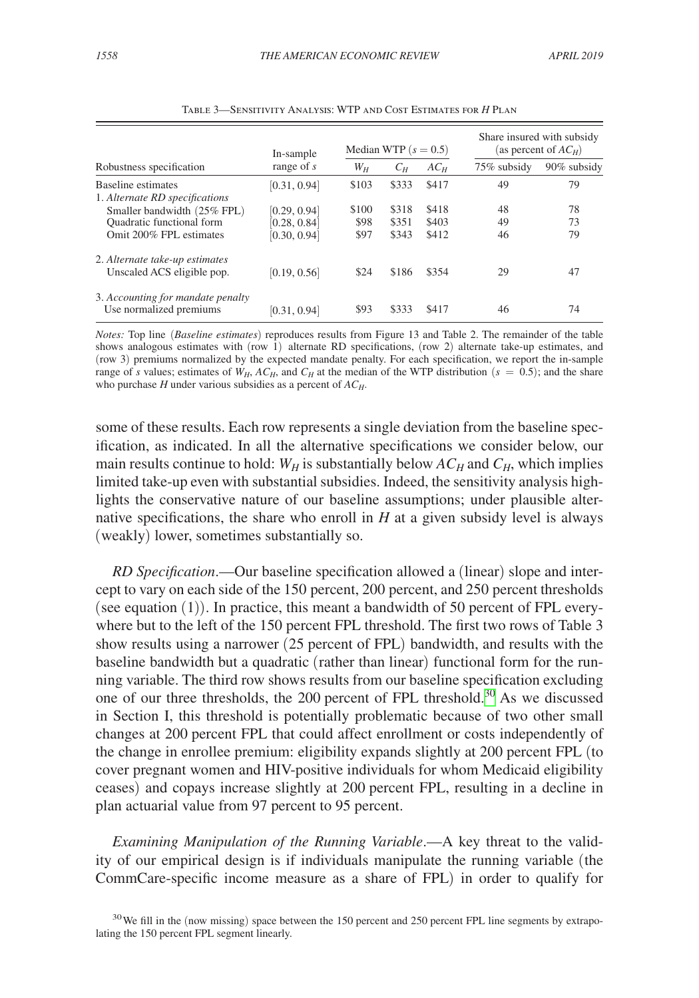<span id="page-28-0"></span>

|                                                              | In-sample<br>range of $s$    | Median WTP $(s = 0.5)$ |                |                | Share insured with subsidy<br>(as percent of $AC_H$ ) |             |
|--------------------------------------------------------------|------------------------------|------------------------|----------------|----------------|-------------------------------------------------------|-------------|
| Robustness specification                                     |                              | $W_H$                  | $C_H$          | $AC_H$         | 75% subsidy                                           | 90% subsidy |
| Baseline estimates<br>1. Alternate RD specifications         | [0.31, 0.94]                 | \$103                  | \$333          | \$417          | 49                                                    | 79          |
| Smaller bandwidth (25% FPL)                                  | [0.29, 0.94]                 | \$100                  | \$318          | \$418          | 48                                                    | 78          |
| Quadratic functional form<br>Omit 200% FPL estimates         | [0.28, 0.84]<br>[0.30, 0.94] | \$98<br>\$97           | \$351<br>\$343 | \$403<br>\$412 | 49<br>46                                              | 73<br>79    |
| 2. Alternate take-up estimates<br>Unscaled ACS eligible pop. | [0.19, 0.56]                 | \$24                   | \$186          | \$354          | 29                                                    | 47          |
| 3. Accounting for mandate penalty<br>Use normalized premiums | [0.31, 0.94]                 | \$93                   | \$333          | \$417          | 46                                                    | 74          |

Table 3—Sensitivity Analysis: WTP and Cost Estimates for *H* Plan

*Notes:* Top line (*Baseline estimates*) reproduces results from Figure 13 and Table 2. The remainder of the table shows analogous estimates with (row 1) alternate RD specifications, (row 2) alternate take-up estimates, and (row 3) premiums normalized by the expected mandate penalty. For each specification, we report the in-sample range of *s* values; estimates of  $W_H$ ,  $AC_H$ , and  $C_H$  at the median of the WTP distribution ( $s = 0.5$ ); and the share who purchase *H* under various subsidies as a percent of  $AC_H$ .

some of these results. Each row represents a single deviation from the baseline specification, as indicated. In all the alternative specifications we consider below, our main results continue to hold:  $W_H$  is substantially below  $AC_H$  and  $C_H$ , which implies limited take-up even with substantial subsidies. Indeed, the sensitivity analysis highlights the conservative nature of our baseline assumptions; under plausible alternative specifications, the share who enroll in *H* at a given subsidy level is always (weakly) lower, sometimes substantially so.

*RD Specification*.—Our baseline specification allowed a (linear) slope and intercept to vary on each side of the 150 percent, 200 percent, and 250 percent thresholds (see equation (1)). In practice, this meant a bandwidth of 50 percent of FPL everywhere but to the left of the 150 percent FPL threshold. The first two rows of Table 3 show results using a narrower (25 percent of FPL) bandwidth, and results with the baseline bandwidth but a quadratic (rather than linear) functional form for the running variable. The third row shows results from our baseline specification excluding one of our three thresholds, the 200 percent of FPL threshold.[30](#page-28-1) As we discussed in Section I, this threshold is potentially problematic because of two other small changes at 200 percent FPL that could affect enrollment or costs independently of the change in enrollee premium: eligibility expands slightly at 200 percent FPL (to cover pregnant women and HIV-positive individuals for whom Medicaid eligibility ceases) and copays increase slightly at 200 percent FPL, resulting in a decline in plan actuarial value from 97 percent to 95 percent.

*Examining Manipulation of the Running Variable*.—A key threat to the validity of our empirical design is if individuals manipulate the running variable (the CommCare-specific income measure as a share of FPL) in order to qualify for

<span id="page-28-1"></span><sup>&</sup>lt;sup>30</sup>We fill in the (now missing) space between the 150 percent and 250 percent FPL line segments by extrapolating the 150 percent FPL segment linearly.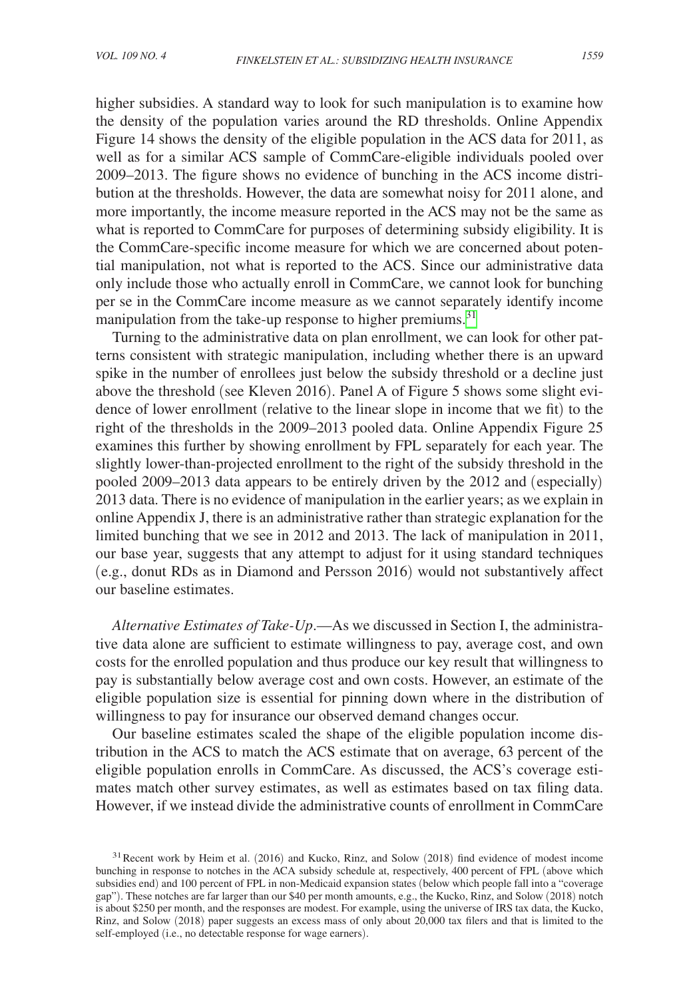higher subsidies. A standard way to look for such manipulation is to examine how the density of the population varies around the RD thresholds. Online Appendix Figure 14 shows the density of the eligible population in the ACS data for 2011, as well as for a similar ACS sample of CommCare-eligible individuals pooled over 2009–2013. The figure shows no evidence of bunching in the ACS income distribution at the thresholds. However, the data are somewhat noisy for 2011 alone, and more importantly, the income measure reported in the ACS may not be the same as what is reported to CommCare for purposes of determining subsidy eligibility. It is the CommCare-specific income measure for which we are concerned about potential manipulation, not what is reported to the ACS. Since our administrative data only include those who actually enroll in CommCare, we cannot look for bunching per se in the CommCare income measure as we cannot separately identify income manipulation from the take-up response to higher premiums.<sup>[31](#page-29-0)</sup>

Turning to the administrative data on plan enrollment, we can look for other patterns consistent with strategic manipulation, including whether there is an upward spike in the number of enrollees just below the subsidy threshold or a decline just above the threshold (see Kleven 2016). Panel A of Figure 5 shows some slight evidence of lower enrollment (relative to the linear slope in income that we fit) to the right of the thresholds in the 2009–2013 pooled data. Online Appendix Figure 25 examines this further by showing enrollment by FPL separately for each year. The slightly lower-than-projected enrollment to the right of the subsidy threshold in the pooled 2009–2013 data appears to be entirely driven by the 2012 and (especially) 2013 data. There is no evidence of manipulation in the earlier years; as we explain in online Appendix J, there is an administrative rather than strategic explanation for the limited bunching that we see in 2012 and 2013. The lack of manipulation in 2011, our base year, suggests that any attempt to adjust for it using standard techniques (e.g., donut RDs as in Diamond and Persson 2016) would not substantively affect our baseline estimates.

*Alternative Estimates of Take-Up*.—As we discussed in Section I, the administrative data alone are sufficient to estimate willingness to pay, average cost, and own costs for the enrolled population and thus produce our key result that willingness to pay is substantially below average cost and own costs. However, an estimate of the eligible population size is essential for pinning down where in the distribution of willingness to pay for insurance our observed demand changes occur.

Our baseline estimates scaled the shape of the eligible population income distribution in the ACS to match the ACS estimate that on average, 63 percent of the eligible population enrolls in CommCare. As discussed, the ACS's coverage estimates match other survey estimates, as well as estimates based on tax filing data. However, if we instead divide the administrative counts of enrollment in CommCare

<span id="page-29-0"></span><sup>&</sup>lt;sup>31</sup> Recent work by Heim et al. (2016) and Kucko, Rinz, and Solow (2018) find evidence of modest income bunching in response to notches in the ACA subsidy schedule at, respectively, 400 percent of FPL (above which subsidies end) and 100 percent of FPL in non-Medicaid expansion states (below which people fall into a "coverage gap"). These notches are far larger than our \$40 per month amounts, e.g., the Kucko, Rinz, and Solow (2018) notch is about \$250 per month, and the responses are modest. For example, using the universe of IRS tax data, the Kucko, Rinz, and Solow (2018) paper suggests an excess mass of only about 20,000 tax filers and that is limited to the self-employed (i.e., no detectable response for wage earners).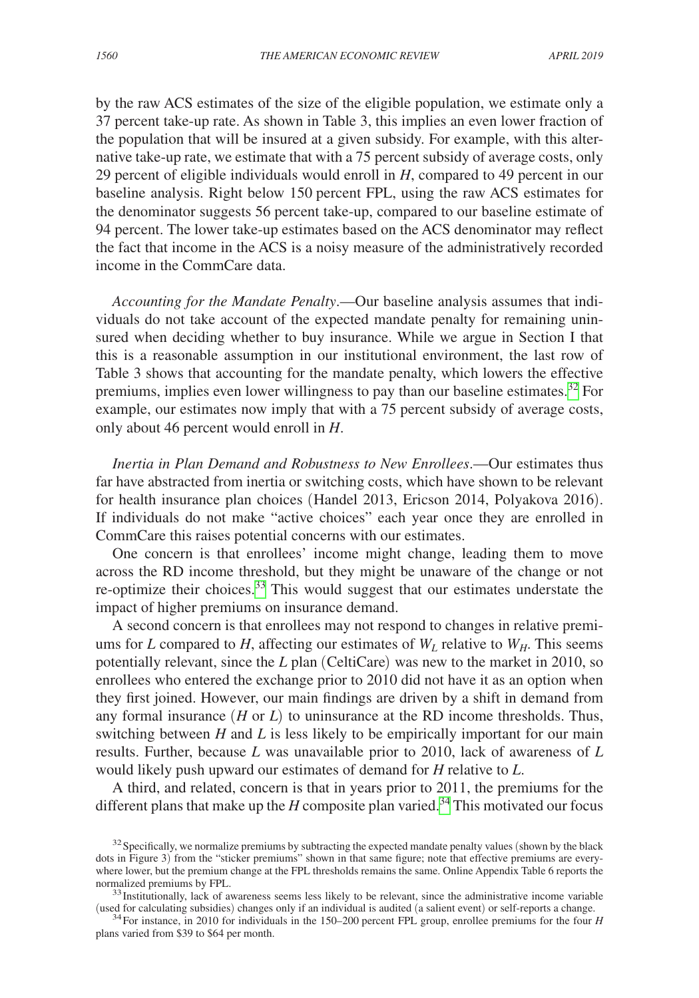by the raw ACS estimates of the size of the eligible population, we estimate only a 37 percent take-up rate. As shown in Table 3, this implies an even lower fraction of the population that will be insured at a given subsidy. For example, with this alternative take-up rate, we estimate that with a 75 percent subsidy of average costs, only 29 percent of eligible individuals would enroll in *H*, compared to 49 percent in our baseline analysis. Right below 150 percent FPL, using the raw ACS estimates for the denominator suggests 56 percent take-up, compared to our baseline estimate of 94 percent. The lower take-up estimates based on the ACS denominator may reflect the fact that income in the ACS is a noisy measure of the administratively recorded income in the CommCare data.

*Accounting for the Mandate Penalty*.—Our baseline analysis assumes that individuals do not take account of the expected mandate penalty for remaining uninsured when deciding whether to buy insurance. While we argue in Section I that this is a reasonable assumption in our institutional environment, the last row of Table 3 shows that accounting for the mandate penalty, which lowers the effective premiums, implies even lower willingness to pay than our baseline estimates.<sup>32</sup> For example, our estimates now imply that with a 75 percent subsidy of average costs, only about 46 percent would enroll in *H*.

*Inertia in Plan Demand and Robustness to New Enrollees*.—Our estimates thus far have abstracted from inertia or switching costs, which have shown to be relevant for health insurance plan choices (Handel 2013, Ericson 2014, Polyakova 2016). If individuals do not make "active choices" each year once they are enrolled in CommCare this raises potential concerns with our estimates.

One concern is that enrollees' income might change, leading them to move across the RD income threshold, but they might be unaware of the change or not re-optimize their choices.<sup>33</sup> This would suggest that our estimates understate the impact of higher premiums on insurance demand.

A second concern is that enrollees may not respond to changes in relative premiums for *L* compared to *H*, affecting our estimates of  $W_L$  relative to  $W_H$ . This seems potentially relevant, since the *L* plan (CeltiCare) was new to the market in 2010, so enrollees who entered the exchange prior to 2010 did not have it as an option when they first joined. However, our main findings are driven by a shift in demand from any formal insurance (*H* or *L*) to uninsurance at the RD income thresholds. Thus, switching between *H* and *L* is less likely to be empirically important for our main results. Further, because *L* was unavailable prior to 2010, lack of awareness of *L* would likely push upward our estimates of demand for *H* relative to *L*.

A third, and related, concern is that in years prior to 2011, the premiums for the different plans that make up the *H* composite plan varied.<sup>34</sup> This motivated our focus

<span id="page-30-0"></span> $32$  Specifically, we normalize premiums by subtracting the expected mandate penalty values (shown by the black dots in Figure 3) from the "sticker premiums" shown in that same figure; note that effective premiums are everywhere lower, but the premium change at the FPL thresholds remains the same. Online Appendix Table 6 reports the normalized premiums by FPL.

<span id="page-30-1"></span> $33$ Institutionally, lack of awareness seems less likely to be relevant, since the administrative income variable (used for calculating subsidies) changes only if an individual is audited (a salient event) or self-reports

<span id="page-30-2"></span> $34$  For instance, in 2010 for individuals in the 150–200 percent FPL group, enrollee premiums for the four H plans varied from \$39 to \$64 per month.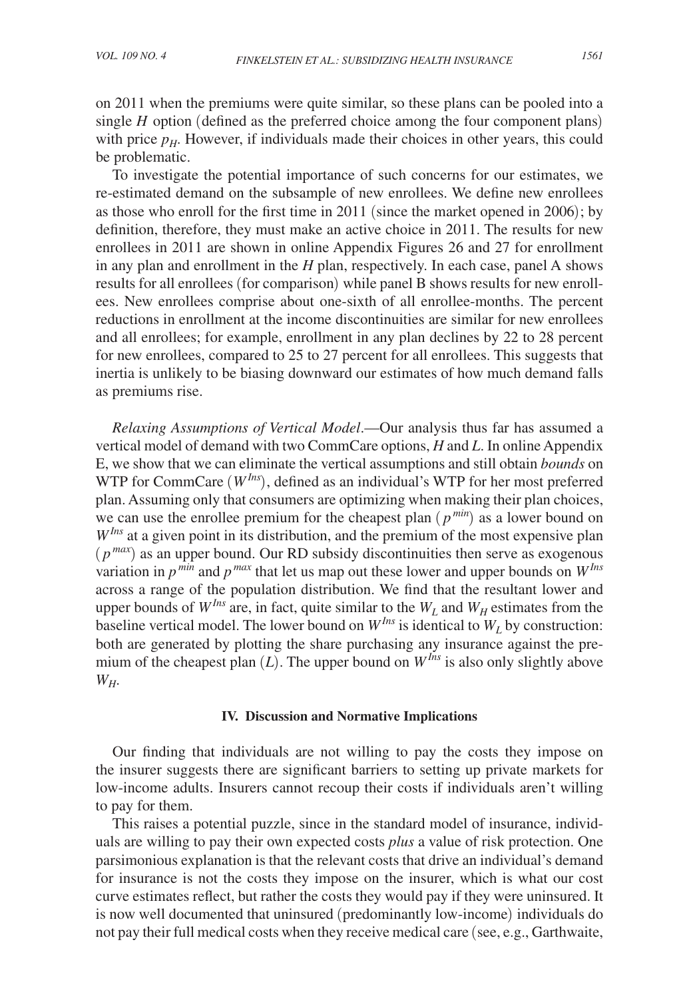on 2011 when the premiums were quite similar, so these plans can be pooled into a single *H* option (defined as the preferred choice among the four component plans) with price  $p<sub>H</sub>$ . However, if individuals made their choices in other years, this could be problematic.

To investigate the potential importance of such concerns for our estimates, we re-estimated demand on the subsample of new enrollees. We define new enrollees as those who enroll for the first time in 2011 (since the market opened in 2006); by definition, therefore, they must make an active choice in 2011. The results for new enrollees in 2011 are shown in online Appendix Figures 26 and 27 for enrollment in any plan and enrollment in the *H* plan, respectively. In each case, panel A shows results for all enrollees (for comparison) while panel B shows results for new enrollees. New enrollees comprise about one-sixth of all enrollee-months. The percent reductions in enrollment at the income discontinuities are similar for new enrollees and all enrollees; for example, enrollment in any plan declines by 22 to 28 percent for new enrollees, compared to 25 to 27 percent for all enrollees. This suggests that inertia is unlikely to be biasing downward our estimates of how much demand falls as premiums rise.

*Relaxing Assumptions of Vertical Model*.—Our analysis thus far has assumed a vertical model of demand with two CommCare options, *H* and *L*. In online Appendix E, we show that we can eliminate the vertical assumptions and still obtain *bounds* on WTP for CommCare (*WIns*), defined as an individual's WTP for her most preferred plan. Assuming only that consumers are optimizing when making their plan choices, we can use the enrollee premium for the cheapest plan (*p min*) as a lower bound on  $W^{Ins}$  at a given point in its distribution, and the premium of the most expensive plan  $(p^{max})$  as an upper bound. Our RD subsidy discontinuities then serve as exogenous variation in  $p^{min}$  and  $p^{max}$  that let us map out these lower and upper bounds on  $W^{Ins}$ across a range of the population distribution. We find that the resultant lower and upper bounds of  $W^{Ins}$  are, in fact, quite similar to the  $W_L$  and  $W_H$  estimates from the baseline vertical model. The lower bound on  $W^{Ins}$  is identical to  $W_L$  by construction: both are generated by plotting the share purchasing any insurance against the premium of the cheapest plan  $(L)$ . The upper bound on  $W^{Ins}$  is also only slightly above *WH*.

#### **IV. Discussion and Normative Implications**

Our finding that individuals are not willing to pay the costs they impose on the insurer suggests there are significant barriers to setting up private markets for low-income adults. Insurers cannot recoup their costs if individuals aren't willing to pay for them.

This raises a potential puzzle, since in the standard model of insurance, individuals are willing to pay their own expected costs *plus* a value of risk protection. One parsimonious explanation is that the relevant costs that drive an individual's demand for insurance is not the costs they impose on the insurer, which is what our cost curve estimates reflect, but rather the costs they would pay if they were uninsured. It is now well documented that uninsured (predominantly low-income) individuals do not pay their full medical costs when they receive medical care (see, e.g., Garthwaite,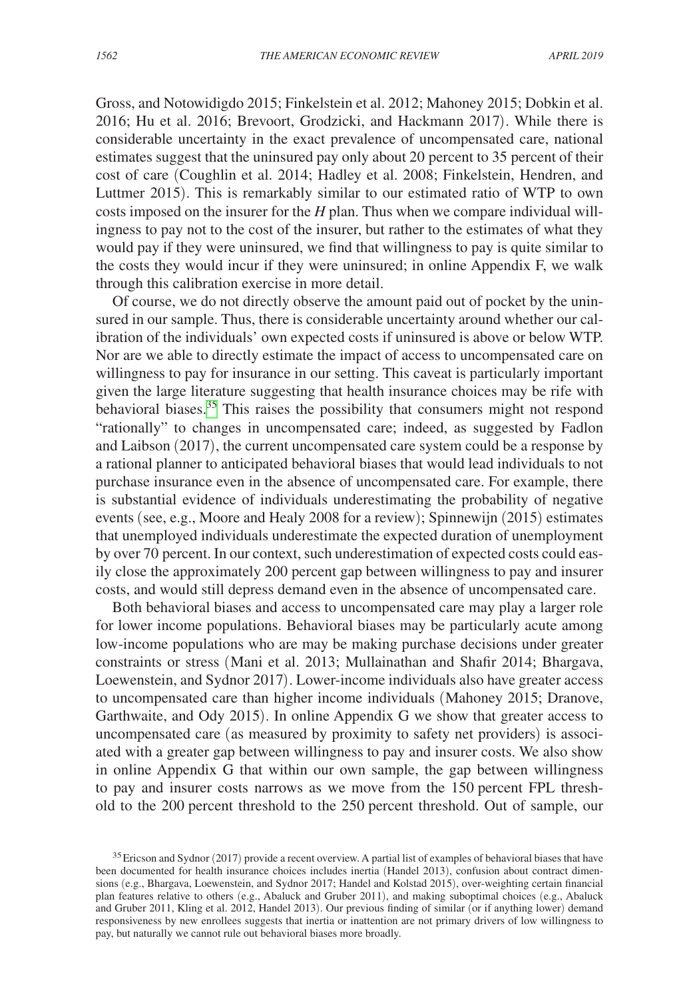Gross, and Notowidigdo 2015; Finkelstein et al. 2012; Mahoney 2015; Dobkin et al. 2016; Hu et al. 2016; Brevoort, Grodzicki, and Hackmann 2017). While there is considerable uncertainty in the exact prevalence of uncompensated care, national estimates suggest that the uninsured pay only about 20 percent to 35 percent of their cost of care (Coughlin et al. 2014; Hadley et al. 2008; Finkelstein, Hendren, and Luttmer 2015). This is remarkably similar to our estimated ratio of WTP to own costs imposed on the insurer for the *H* plan. Thus when we compare individual willingness to pay not to the cost of the insurer, but rather to the estimates of what they would pay if they were uninsured, we find that willingness to pay is quite similar to the costs they would incur if they were uninsured; in online Appendix F, we walk through this calibration exercise in more detail.

Of course, we do not directly observe the amount paid out of pocket by the uninsured in our sample. Thus, there is considerable uncertainty around whether our calibration of the individuals' own expected costs if uninsured is above or below WTP. Nor are we able to directly estimate the impact of access to uncompensated care on willingness to pay for insurance in our setting. This caveat is particularly important given the large literature suggesting that health insurance choices may be rife with behavioral biases.<sup>35</sup> This raises the possibility that consumers might not respond "rationally" to changes in uncompensated care; indeed, as suggested by Fadlon and Laibson (2017), the current uncompensated care system could be a response by a rational planner to anticipated behavioral biases that would lead individuals to not purchase insurance even in the absence of uncompensated care. For example, there is substantial evidence of individuals underestimating the probability of negative events (see, e.g., Moore and Healy 2008 for a review); Spinnewijn (2015) estimates that unemployed individuals underestimate the expected duration of unemployment by over 70 percent. In our context, such underestimation of expected costs could easily close the approximately 200 percent gap between willingness to pay and insurer costs, and would still depress demand even in the absence of uncompensated care.

Both behavioral biases and access to uncompensated care may play a larger role for lower income populations. Behavioral biases may be particularly acute among low-income populations who are may be making purchase decisions under greater constraints or stress (Mani et al. 2013; Mullainathan and Shafir 2014; Bhargava, Loewenstein, and Sydnor 2017). Lower-income individuals also have greater access to uncompensated care than higher income individuals (Mahoney 2015; Dranove, Garthwaite, and Ody 2015). In online Appendix G we show that greater access to uncompensated care (as measured by proximity to safety net providers) is associated with a greater gap between willingness to pay and insurer costs. We also show in online Appendix G that within our own sample, the gap between willingness to pay and insurer costs narrows as we move from the 150 percent FPL threshold to the 200 percent threshold to the 250 percent threshold. Out of sample, our

<span id="page-32-0"></span><sup>&</sup>lt;sup>35</sup> Ericson and Sydnor (2017) provide a recent overview. A partial list of examples of behavioral biases that have been documented for health insurance choices includes inertia (Handel 2013), confusion about contract dimensions (e.g., Bhargava, Loewenstein, and Sydnor 2017; Handel and Kolstad 2015), over-weighting certain financial plan features relative to others (e.g., Abaluck and Gruber 2011), and making suboptimal choices (e.g., Abaluck and Gruber 2011, Kling et al. 2012, Handel 2013). Our previous finding of similar (or if anything lower) demand responsiveness by new enrollees suggests that inertia or inattention are not primary drivers of low willingness to pay, but naturally we cannot rule out behavioral biases more broadly.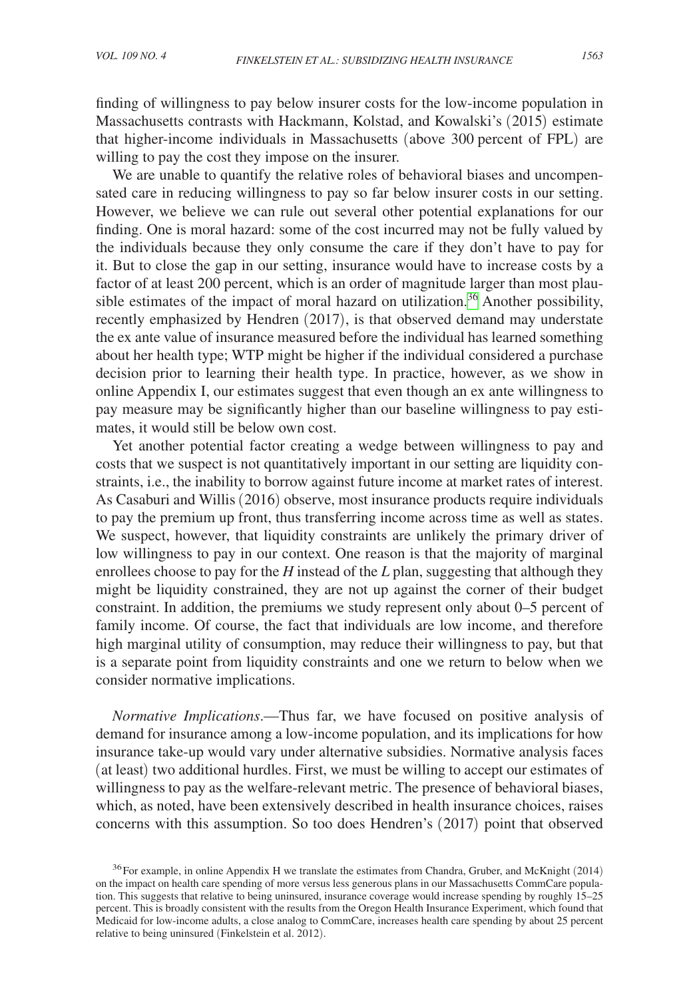finding of willingness to pay below insurer costs for the low-income population in Massachusetts contrasts with Hackmann, Kolstad, and Kowalski's (2015) estimate that higher-income individuals in Massachusetts (above 300 percent of FPL) are willing to pay the cost they impose on the insurer.

We are unable to quantify the relative roles of behavioral biases and uncompensated care in reducing willingness to pay so far below insurer costs in our setting. However, we believe we can rule out several other potential explanations for our finding. One is moral hazard: some of the cost incurred may not be fully valued by the individuals because they only consume the care if they don't have to pay for it. But to close the gap in our setting, insurance would have to increase costs by a factor of at least 200 percent, which is an order of magnitude larger than most plausible estimates of the impact of moral hazard on utilization.<sup>36</sup> Another possibility, recently emphasized by Hendren (2017), is that observed demand may understate the ex ante value of insurance measured before the individual has learned something about her health type; WTP might be higher if the individual considered a purchase decision prior to learning their health type. In practice, however, as we show in online Appendix I, our estimates suggest that even though an ex ante willingness to pay measure may be significantly higher than our baseline willingness to pay estimates, it would still be below own cost.

Yet another potential factor creating a wedge between willingness to pay and costs that we suspect is not quantitatively important in our setting are liquidity constraints, i.e., the inability to borrow against future income at market rates of interest. As Casaburi and Willis (2016) observe, most insurance products require individuals to pay the premium up front, thus transferring income across time as well as states. We suspect, however, that liquidity constraints are unlikely the primary driver of low willingness to pay in our context. One reason is that the majority of marginal enrollees choose to pay for the *H* instead of the *L* plan, suggesting that although they might be liquidity constrained, they are not up against the corner of their budget constraint. In addition, the premiums we study represent only about 0–5 percent of family income. Of course, the fact that individuals are low income, and therefore high marginal utility of consumption, may reduce their willingness to pay, but that is a separate point from liquidity constraints and one we return to below when we consider normative implications.

*Normative Implications*.—Thus far, we have focused on positive analysis of demand for insurance among a low-income population, and its implications for how insurance take-up would vary under alternative subsidies. Normative analysis faces (at least) two additional hurdles. First, we must be willing to accept our estimates of willingness to pay as the welfare-relevant metric. The presence of behavioral biases, which, as noted, have been extensively described in health insurance choices, raises concerns with this assumption. So too does Hendren's (2017) point that observed

<span id="page-33-0"></span><sup>&</sup>lt;sup>36</sup>For example, in online Appendix H we translate the estimates from Chandra, Gruber, and McKnight (2014) on the impact on health care spending of more versus less generous plans in our Massachusetts CommCare population. This suggests that relative to being uninsured, insurance coverage would increase spending by roughly 15–25 percent. This is broadly consistent with the results from the Oregon Health Insurance Experiment, which found that Medicaid for low-income adults, a close analog to CommCare, increases health care spending by about 25 percent relative to being uninsured (Finkelstein et al. 2012).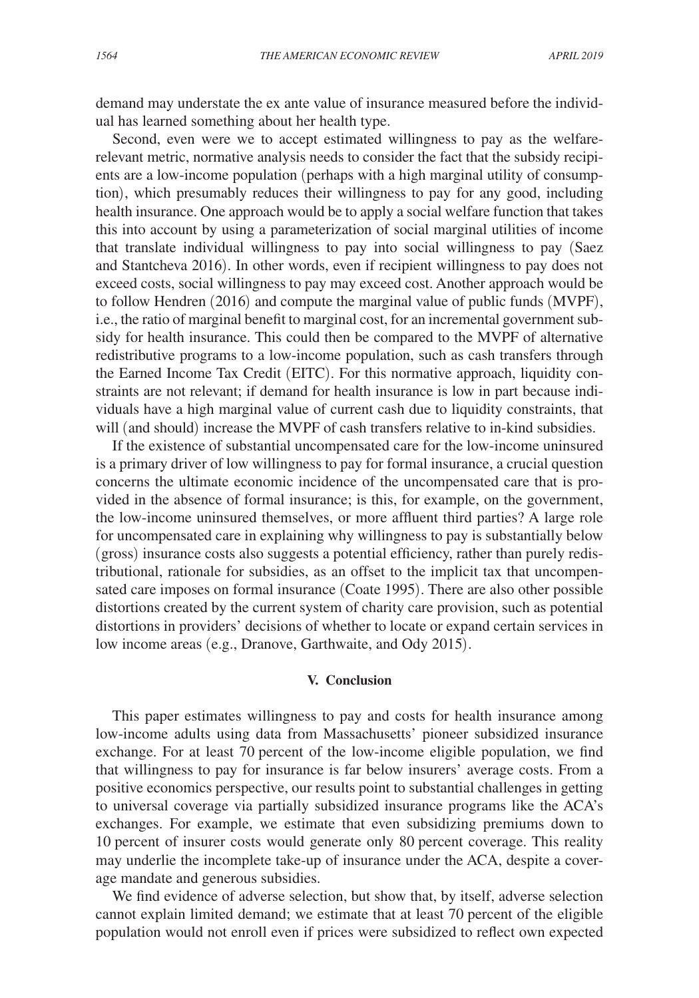demand may understate the ex ante value of insurance measured before the individual has learned something about her health type.

Second, even were we to accept estimated willingness to pay as the welfarerelevant metric, normative analysis needs to consider the fact that the subsidy recipients are a low-income population (perhaps with a high marginal utility of consumption), which presumably reduces their willingness to pay for any good, including health insurance. One approach would be to apply a social welfare function that takes this into account by using a parameterization of social marginal utilities of income that translate individual willingness to pay into social willingness to pay (Saez and Stantcheva 2016). In other words, even if recipient willingness to pay does not exceed costs, social willingness to pay may exceed cost. Another approach would be to follow Hendren (2016) and compute the marginal value of public funds (MVPF), i.e., the ratio of marginal benefit to marginal cost, for an incremental government subsidy for health insurance. This could then be compared to the MVPF of alternative redistributive programs to a low-income population, such as cash transfers through the Earned Income Tax Credit (EITC). For this normative approach, liquidity constraints are not relevant; if demand for health insurance is low in part because individuals have a high marginal value of current cash due to liquidity constraints, that will (and should) increase the MVPF of cash transfers relative to in-kind subsidies.

If the existence of substantial uncompensated care for the low-income uninsured is a primary driver of low willingness to pay for formal insurance, a crucial question concerns the ultimate economic incidence of the uncompensated care that is provided in the absence of formal insurance; is this, for example, on the government, the low-income uninsured themselves, or more affluent third parties? A large role for uncompensated care in explaining why willingness to pay is substantially below (gross) insurance costs also suggests a potential efficiency, rather than purely redistributional, rationale for subsidies, as an offset to the implicit tax that uncompensated care imposes on formal insurance (Coate 1995). There are also other possible distortions created by the current system of charity care provision, such as potential distortions in providers' decisions of whether to locate or expand certain services in low income areas (e.g., Dranove, Garthwaite, and Ody 2015).

# **V. Conclusion**

This paper estimates willingness to pay and costs for health insurance among low-income adults using data from Massachusetts' pioneer subsidized insurance exchange. For at least 70 percent of the low-income eligible population, we find that willingness to pay for insurance is far below insurers' average costs. From a positive economics perspective, our results point to substantial challenges in getting to universal coverage via partially subsidized insurance programs like the ACA's exchanges. For example, we estimate that even subsidizing premiums down to 10 percent of insurer costs would generate only 80 percent coverage. This reality may underlie the incomplete take-up of insurance under the ACA, despite a coverage mandate and generous subsidies.

We find evidence of adverse selection, but show that, by itself, adverse selection cannot explain limited demand; we estimate that at least 70 percent of the eligible population would not enroll even if prices were subsidized to reflect own expected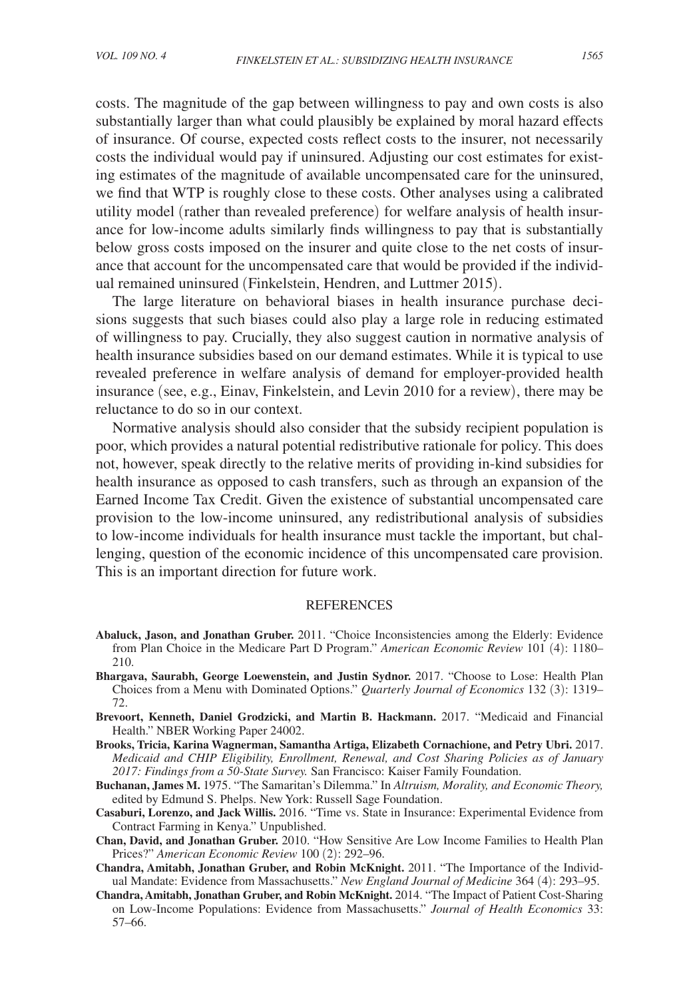costs. The magnitude of the gap between willingness to pay and own costs is also substantially larger than what could plausibly be explained by moral hazard effects of insurance. Of course, expected costs reflect costs to the insurer, not necessarily costs the individual would pay if uninsured. Adjusting our cost estimates for existing estimates of the magnitude of available uncompensated care for the uninsured, we find that WTP is roughly close to these costs. Other analyses using a calibrated utility model (rather than revealed preference) for welfare analysis of health insurance for low-income adults similarly finds willingness to pay that is substantially below gross costs imposed on the insurer and quite close to the net costs of insurance that account for the uncompensated care that would be provided if the individual remained uninsured (Finkelstein, Hendren, and Luttmer 2015).

The large literature on behavioral biases in health insurance purchase decisions suggests that such biases could also play a large role in reducing estimated of willingness to pay. Crucially, they also suggest caution in normative analysis of health insurance subsidies based on our demand estimates. While it is typical to use revealed preference in welfare analysis of demand for employer-provided health insurance (see, e.g., Einav, Finkelstein, and Levin 2010 for a review), there may be reluctance to do so in our context.

Normative analysis should also consider that the subsidy recipient population is poor, which provides a natural potential redistributive rationale for policy. This does not, however, speak directly to the relative merits of providing in-kind subsidies for health insurance as opposed to cash transfers, such as through an expansion of the Earned Income Tax Credit. Given the existence of substantial uncompensated care provision to the low-income uninsured, any redistributional analysis of subsidies to low-income individuals for health insurance must tackle the important, but challenging, question of the economic incidence of this uncompensated care provision. This is an important direction for future work.

#### REFERENCES

- **Abaluck, Jason, and Jonathan Gruber.** 2011. "Choice Inconsistencies among the Elderly: Evidence from Plan Choice in the Medicare Part D Program." *American Economic Review* 101 (4): 1180– 210.
- **Bhargava, Saurabh, George Loewenstein, and Justin Sydnor.** 2017. "Choose to Lose: Health Plan Choices from a Menu with Dominated Options." *Quarterly Journal of Economics* 132 (3): 1319– 72.
- **Brevoort, Kenneth, Daniel Grodzicki, and Martin B. Hackmann.** 2017. "Medicaid and Financial Health." NBER Working Paper 24002.
- **Brooks, Tricia, Karina Wagnerman, Samantha Artiga, Elizabeth Cornachione, and Petry Ubri.** 2017. *Medicaid and CHIP Eligibility, Enrollment, Renewal, and Cost Sharing Policies as of January 2017: Findings from a 50-State Survey.* San Francisco: Kaiser Family Foundation.
- **Buchanan, James M.** 1975. "The Samaritan's Dilemma." In *Altruism, Morality, and Economic Theory,*  edited by Edmund S. Phelps. New York: Russell Sage Foundation.
- **Casaburi, Lorenzo, and Jack Willis.** 2016. "Time vs. State in Insurance: Experimental Evidence from Contract Farming in Kenya." Unpublished.
- **Chan, David, and Jonathan Gruber.** 2010. "How Sensitive Are Low Income Families to Health Plan Prices?" *American Economic Review* 100 (2): 292–96.
- **Chandra, Amitabh, Jonathan Gruber, and Robin McKnight.** 2011. "The Importance of the Individual Mandate: Evidence from Massachusetts." *New England Journal of Medicine* 364 (4): 293–95.
- **Chandra, Amitabh, Jonathan Gruber, and Robin McKnight.** 2014. "The Impact of Patient Cost-Sharing on Low-Income Populations: Evidence from Massachusetts." *Journal of Health Economics* 33: 57–66.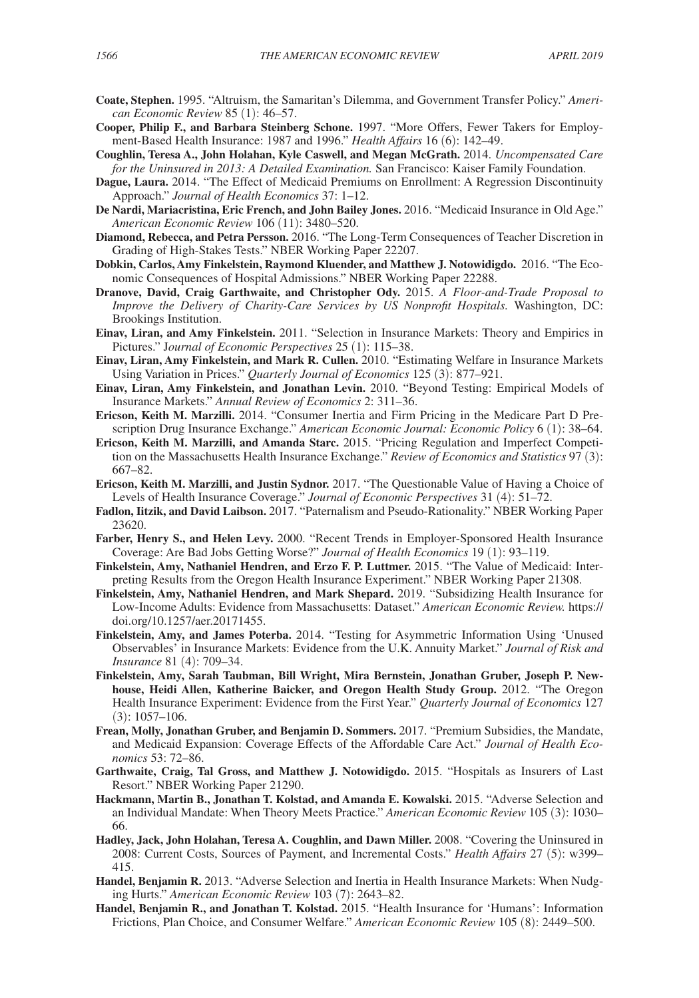- **Coate, Stephen.** 1995. "Altruism, the Samaritan's Dilemma, and Government Transfer Policy." *American Economic Review* 85 (1): 46–57.
- **Cooper, Philip F., and Barbara Steinberg Schone.** 1997. "More Offers, Fewer Takers for Employment-Based Health Insurance: 1987 and 1996." *Health Affairs* 16 (6): 142–49.
- **Coughlin, Teresa A., John Holahan, Kyle Caswell, and Megan McGrath.** 2014. *Uncompensated Care for the Uninsured in 2013: A Detailed Examination.* San Francisco: Kaiser Family Foundation.
- **Dague, Laura.** 2014. "The Effect of Medicaid Premiums on Enrollment: A Regression Discontinuity Approach." *Journal of Health Economics* 37: 1–12.
- **De Nardi, Mariacristina, Eric French, and John Bailey Jones.** 2016. "Medicaid Insurance in Old Age." *American Economic Review* 106 (11): 3480–520.
- **Diamond, Rebecca, and Petra Persson.** 2016. "The Long-Term Consequences of Teacher Discretion in Grading of High-Stakes Tests." NBER Working Paper 22207.
- **Dobkin, Carlos, Amy Finkelstein, Raymond Kluender, and Matthew J. Notowidigdo.** 2016. "The Economic Consequences of Hospital Admissions." NBER Working Paper 22288.
- **Dranove, David, Craig Garthwaite, and Christopher Ody.** 2015. *A Floor-and-Trade Proposal to Improve the Delivery of Charity-Care Services by US Nonprofit Hospitals.* Washington, DC: Brookings Institution.
- **Einav, Liran, and Amy Finkelstein.** 2011. "Selection in Insurance Markets: Theory and Empirics in Pictures." J*ournal of Economic Perspectives* 25 (1): 115–38.
- **Einav, Liran, Amy Finkelstein, and Mark R. Cullen.** 2010. "Estimating Welfare in Insurance Markets Using Variation in Prices." *Quarterly Journal of Economics* 125 (3): 877–921.
- **Einav, Liran, Amy Finkelstein, and Jonathan Levin.** 2010. "Beyond Testing: Empirical Models of Insurance Markets." *Annual Review of Economics* 2: 311–36.
- **Ericson, Keith M. Marzilli.** 2014. "Consumer Inertia and Firm Pricing in the Medicare Part D Prescription Drug Insurance Exchange." *American Economic Journal: Economic Policy* 6 (1): 38–64.
- **Ericson, Keith M. Marzilli, and Amanda Starc.** 2015. "Pricing Regulation and Imperfect Competition on the Massachusetts Health Insurance Exchange." *Review of Economics and Statistics* 97 (3): 667–82.
- **Ericson, Keith M. Marzilli, and Justin Sydnor.** 2017. "The Questionable Value of Having a Choice of Levels of Health Insurance Coverage." *Journal of Economic Perspectives* 31 (4): 51–72.
- **Fadlon, Iitzik, and David Laibson.** 2017. "Paternalism and Pseudo-Rationality." NBER Working Paper 23620.
- **Farber, Henry S., and Helen Levy.** 2000. "Recent Trends in Employer-Sponsored Health Insurance Coverage: Are Bad Jobs Getting Worse?" *Journal of Health Economics* 19 (1): 93–119.
- **Finkelstein, Amy, Nathaniel Hendren, and Erzo F. P. Luttmer.** 2015. "The Value of Medicaid: Interpreting Results from the Oregon Health Insurance Experiment." NBER Working Paper 21308.
- **Finkelstein, Amy, Nathaniel Hendren, and Mark Shepard.** 2019. "Subsidizing Health Insurance for Low-Income Adults: Evidence from Massachusetts: Dataset." *American Economic Review.* https:// doi.org/10.1257/aer.20171455.
- **Finkelstein, Amy, and James Poterba.** 2014. "Testing for Asymmetric Information Using 'Unused Observables' in Insurance Markets: Evidence from the U.K. Annuity Market." *Journal of Risk and Insurance* 81 (4): 709–34.
- **Finkelstein, Amy, Sarah Taubman, Bill Wright, Mira Bernstein, Jonathan Gruber, Joseph P. Newhouse, Heidi Allen, Katherine Baicker, and Oregon Health Study Group.** 2012. "The Oregon Health Insurance Experiment: Evidence from the First Year." *Quarterly Journal of Economics* 127  $(3): 1057 - 106.$
- **Frean, Molly, Jonathan Gruber, and Benjamin D. Sommers.** 2017. "Premium Subsidies, the Mandate, and Medicaid Expansion: Coverage Effects of the Affordable Care Act." *Journal of Health Economics* 53: 72–86.
- **Garthwaite, Craig, Tal Gross, and Matthew J. Notowidigdo.** 2015. "Hospitals as Insurers of Last Resort." NBER Working Paper 21290.
- **Hackmann, Martin B., Jonathan T. Kolstad, and Amanda E. Kowalski.** 2015. "Adverse Selection and an Individual Mandate: When Theory Meets Practice." *American Economic Review* 105 (3): 1030– 66.
- **Hadley, Jack, John Holahan, Teresa A. Coughlin, and Dawn Miller.** 2008. "Covering the Uninsured in 2008: Current Costs, Sources of Payment, and Incremental Costs." *Health Affairs* 27 (5): w399– 415.
- **Handel, Benjamin R.** 2013. "Adverse Selection and Inertia in Health Insurance Markets: When Nudging Hurts." *American Economic Review* 103 (7): 2643–82.
- **Handel, Benjamin R., and Jonathan T. Kolstad.** 2015. "Health Insurance for 'Humans': Information Frictions, Plan Choice, and Consumer Welfare." *American Economic Review* 105 (8): 2449–500.